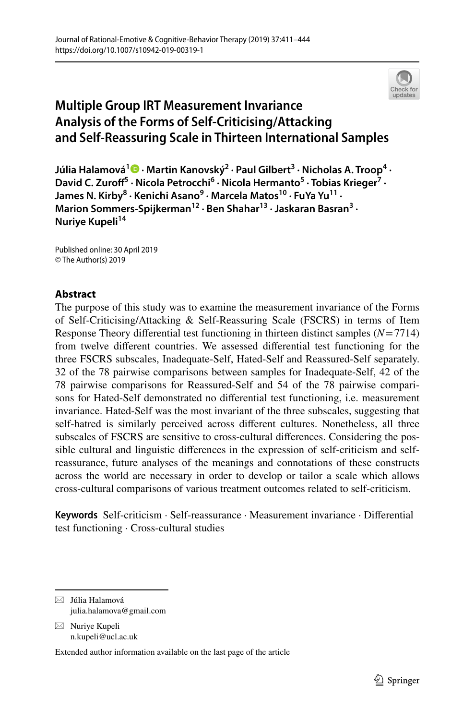

# **Multiple Group IRT Measurement Invariance Analysis of the Forms of Self‑Criticising/Attacking and Self‑Reassuring Scale in Thirteen International Samples**

```
Júlia Halamová1  · Martin Kanovský2
 · Paul Gilbert3
 · Nicholas A. Troop4
 · 
David C. Zuroff<sup>5</sup> · Nicola Petrocchi<sup>6</sup> · Nicola Hermanto<sup>5</sup> · Tobias Krieger<sup>7</sup> ·
James N. Kirby<sup>8</sup> · Kenichi Asano<sup>9</sup> · Marcela Matos<sup>10</sup> · FuYa Yu<sup>11</sup> ·
Marion Sommers-Spijkerman<sup>12</sup> · Ben Shahar<sup>13</sup> · Jaskaran Basran<sup>3</sup> ·
Nuriye Kupeli14
```
Published online: 30 April 2019 © The Author(s) 2019

# **Abstract**

The purpose of this study was to examine the measurement invariance of the Forms of Self-Criticising/Attacking & Self-Reassuring Scale (FSCRS) in terms of Item Response Theory diferential test functioning in thirteen distinct samples (*N*=7714) from twelve diferent countries. We assessed diferential test functioning for the three FSCRS subscales, Inadequate-Self, Hated-Self and Reassured-Self separately. 32 of the 78 pairwise comparisons between samples for Inadequate-Self, 42 of the 78 pairwise comparisons for Reassured-Self and 54 of the 78 pairwise comparisons for Hated-Self demonstrated no diferential test functioning, i.e. measurement invariance. Hated-Self was the most invariant of the three subscales, suggesting that self-hatred is similarly perceived across diferent cultures. Nonetheless, all three subscales of FSCRS are sensitive to cross-cultural diferences. Considering the possible cultural and linguistic diferences in the expression of self-criticism and selfreassurance, future analyses of the meanings and connotations of these constructs across the world are necessary in order to develop or tailor a scale which allows cross-cultural comparisons of various treatment outcomes related to self-criticism.

**Keywords** Self-criticism · Self-reassurance · Measurement invariance · Diferential test functioning · Cross-cultural studies

 $\boxtimes$  Nuriye Kupeli n.kupeli@ucl.ac.uk

Extended author information available on the last page of the article

 $\boxtimes$  Júlia Halamová julia.halamova@gmail.com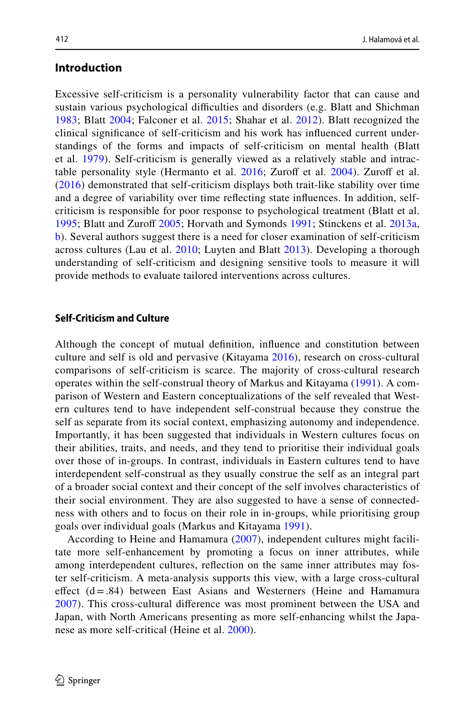# **Introduction**

Excessive self-criticism is a personality vulnerability factor that can cause and sustain various psychological difficulties and disorders (e.g. Blatt and Shichman [1983;](#page-29-0) Blatt [2004;](#page-29-1) Falconer et al. [2015;](#page-30-0) Shahar et al. [2012](#page-32-0)). Blatt recognized the clinical signifcance of self-criticism and his work has infuenced current understandings of the forms and impacts of self-criticism on mental health (Blatt et al. [1979\)](#page-29-2). Self-criticism is generally viewed as a relatively stable and intractable personality style (Hermanto et al.  $2016$ ; Zuroff et al.  $2004$ ). Zuroff et al. [\(2016](#page-32-2)) demonstrated that self-criticism displays both trait-like stability over time and a degree of variability over time refecting state infuences. In addition, selfcriticism is responsible for poor response to psychological treatment (Blatt et al. [1995;](#page-29-3) Blatt and Zurof [2005;](#page-29-4) Horvath and Symonds [1991](#page-31-0); Stinckens et al. [2013a,](#page-32-3) [b](#page-32-4)). Several authors suggest there is a need for closer examination of self-criticism across cultures (Lau et al. [2010](#page-31-1); Luyten and Blatt [2013](#page-31-2)). Developing a thorough understanding of self-criticism and designing sensitive tools to measure it will provide methods to evaluate tailored interventions across cultures.

### **Self‑Criticism and Culture**

Although the concept of mutual defnition, infuence and constitution between culture and self is old and pervasive (Kitayama [2016](#page-31-3)), research on cross-cultural comparisons of self-criticism is scarce. The majority of cross-cultural research operates within the self-construal theory of Markus and Kitayama [\(1991\)](#page-31-4). A comparison of Western and Eastern conceptualizations of the self revealed that Western cultures tend to have independent self-construal because they construe the self as separate from its social context, emphasizing autonomy and independence. Importantly, it has been suggested that individuals in Western cultures focus on their abilities, traits, and needs, and they tend to prioritise their individual goals over those of in-groups. In contrast, individuals in Eastern cultures tend to have interdependent self-construal as they usually construe the self as an integral part of a broader social context and their concept of the self involves characteristics of their social environment. They are also suggested to have a sense of connectedness with others and to focus on their role in in-groups, while prioritising group goals over individual goals (Markus and Kitayama [1991\)](#page-31-4).

According to Heine and Hamamura ([2007](#page-30-2)), independent cultures might facilitate more self-enhancement by promoting a focus on inner attributes, while among interdependent cultures, refection on the same inner attributes may foster self-criticism. A meta-analysis supports this view, with a large cross-cultural effect  $(d=.84)$  between East Asians and Westerners (Heine and Hamamura [2007\)](#page-30-2). This cross-cultural diference was most prominent between the USA and Japan, with North Americans presenting as more self-enhancing whilst the Japanese as more self-critical (Heine et al. [2000](#page-30-3)).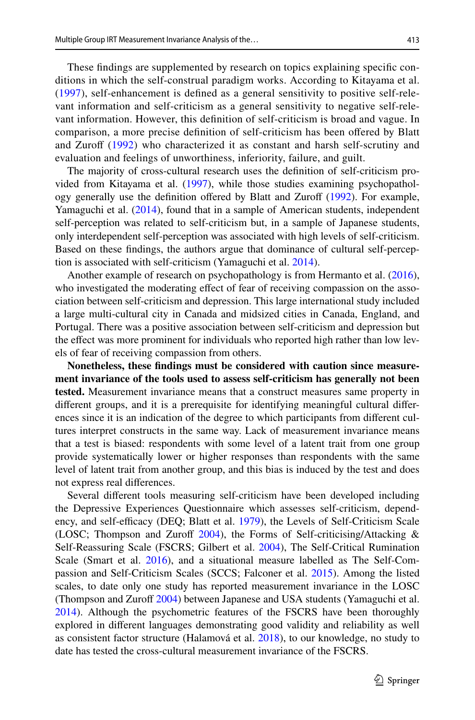These fndings are supplemented by research on topics explaining specifc conditions in which the self-construal paradigm works. According to Kitayama et al. [\(1997](#page-31-5)), self-enhancement is defned as a general sensitivity to positive self-relevant information and self-criticism as a general sensitivity to negative self-relevant information. However, this defnition of self-criticism is broad and vague. In comparison, a more precise defnition of self-criticism has been ofered by Blatt and Zuroff [\(1992\)](#page-29-5) who characterized it as constant and harsh self-scrutiny and evaluation and feelings of unworthiness, inferiority, failure, and guilt.

The majority of cross-cultural research uses the defnition of self-criticism provided from Kitayama et al. [\(1997](#page-31-5)), while those studies examining psychopathol-ogy generally use the definition offered by Blatt and Zuroff [\(1992](#page-29-5)). For example, Yamaguchi et al. [\(2014](#page-32-5)), found that in a sample of American students, independent self-perception was related to self-criticism but, in a sample of Japanese students, only interdependent self-perception was associated with high levels of self-criticism. Based on these fndings, the authors argue that dominance of cultural self-perception is associated with self-criticism (Yamaguchi et al. [2014](#page-32-5)).

Another example of research on psychopathology is from Hermanto et al. ([2016\)](#page-30-1), who investigated the moderating effect of fear of receiving compassion on the association between self-criticism and depression. This large international study included a large multi-cultural city in Canada and midsized cities in Canada, England, and Portugal. There was a positive association between self-criticism and depression but the efect was more prominent for individuals who reported high rather than low levels of fear of receiving compassion from others.

**Nonetheless, these fndings must be considered with caution since measurement invariance of the tools used to assess self-criticism has generally not been tested.** Measurement invariance means that a construct measures same property in diferent groups, and it is a prerequisite for identifying meaningful cultural diferences since it is an indication of the degree to which participants from diferent cultures interpret constructs in the same way. Lack of measurement invariance means that a test is biased: respondents with some level of a latent trait from one group provide systematically lower or higher responses than respondents with the same level of latent trait from another group, and this bias is induced by the test and does not express real diferences.

Several diferent tools measuring self-criticism have been developed including the Depressive Experiences Questionnaire which assesses self-criticism, depend-ency, and self-efficacy (DEQ; Blatt et al. [1979\)](#page-29-2), the Levels of Self-Criticism Scale (LOSC; Thompson and Zuroff  $2004$ ), the Forms of Self-criticising/Attacking & Self-Reassuring Scale (FSCRS; Gilbert et al. [2004\)](#page-30-4), The Self-Critical Rumination Scale (Smart et al. [2016\)](#page-32-7), and a situational measure labelled as The Self-Compassion and Self-Criticism Scales (SCCS; Falconer et al. [2015](#page-30-0)). Among the listed scales, to date only one study has reported measurement invariance in the LOSC (Thompson and Zuroff [2004](#page-32-6)) between Japanese and USA students (Yamaguchi et al. [2014](#page-32-5)). Although the psychometric features of the FSCRS have been thoroughly explored in diferent languages demonstrating good validity and reliability as well as consistent factor structure (Halamová et al. [2018\)](#page-30-5), to our knowledge, no study to date has tested the cross-cultural measurement invariance of the FSCRS.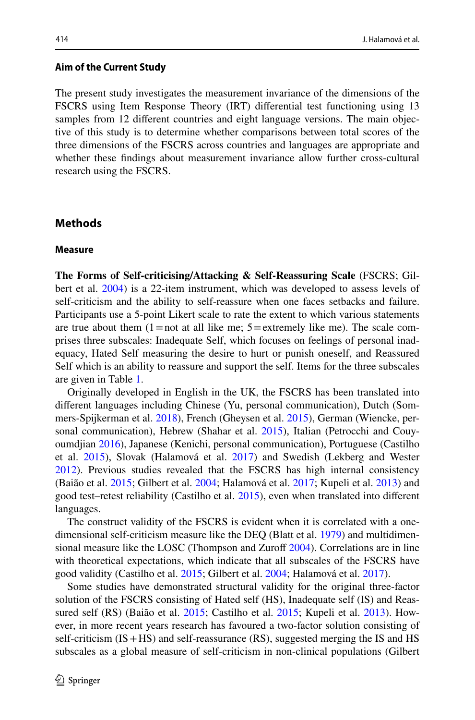#### **Aim of the Current Study**

The present study investigates the measurement invariance of the dimensions of the FSCRS using Item Response Theory (IRT) diferential test functioning using 13 samples from 12 diferent countries and eight language versions. The main objective of this study is to determine whether comparisons between total scores of the three dimensions of the FSCRS across countries and languages are appropriate and whether these fndings about measurement invariance allow further cross-cultural research using the FSCRS.

# **Methods**

#### **Measure**

**The Forms of Self-criticising/Attacking & Self-Reassuring Scale** (FSCRS; Gilbert et al. [2004](#page-30-4)) is a 22-item instrument, which was developed to assess levels of self-criticism and the ability to self-reassure when one faces setbacks and failure. Participants use a 5-point Likert scale to rate the extent to which various statements are true about them  $(1=$ not at all like me;  $5=$  extremely like me). The scale comprises three subscales: Inadequate Self, which focuses on feelings of personal inadequacy, Hated Self measuring the desire to hurt or punish oneself, and Reassured Self which is an ability to reassure and support the self. Items for the three subscales are given in Table [1](#page-4-0).

Originally developed in English in the UK, the FSCRS has been translated into diferent languages including Chinese (Yu, personal communication), Dutch (Sommers-Spijkerman et al. [2018](#page-32-8)), French (Gheysen et al. [2015\)](#page-30-6), German (Wiencke, personal communication), Hebrew (Shahar et al. [2015](#page-32-9)), Italian (Petrocchi and Couyoumdjian [2016](#page-31-6)), Japanese (Kenichi, personal communication), Portuguese (Castilho et al. [2015](#page-29-6)), Slovak (Halamová et al. [2017\)](#page-30-7) and Swedish (Lekberg and Wester [2012](#page-31-7)). Previous studies revealed that the FSCRS has high internal consistency (Baião et al. [2015](#page-29-7); Gilbert et al. [2004;](#page-30-4) Halamová et al. [2017](#page-30-7); Kupeli et al. [2013](#page-31-8)) and good test–retest reliability (Castilho et al. [2015](#page-29-6)), even when translated into diferent languages.

The construct validity of the FSCRS is evident when it is correlated with a onedimensional self-criticism measure like the DEQ (Blatt et al. [1979](#page-29-2)) and multidimen-sional measure like the LOSC (Thompson and Zuroff [2004\)](#page-32-6). Correlations are in line with theoretical expectations, which indicate that all subscales of the FSCRS have good validity (Castilho et al. [2015](#page-29-6); Gilbert et al. [2004;](#page-30-4) Halamová et al. [2017\)](#page-30-7).

Some studies have demonstrated structural validity for the original three-factor solution of the FSCRS consisting of Hated self (HS), Inadequate self (IS) and Reassured self (RS) (Baião et al. [2015;](#page-29-7) Castilho et al. [2015](#page-29-6); Kupeli et al. [2013\)](#page-31-8). However, in more recent years research has favoured a two-factor solution consisting of self-criticism (IS+HS) and self-reassurance (RS), suggested merging the IS and HS subscales as a global measure of self-criticism in non-clinical populations (Gilbert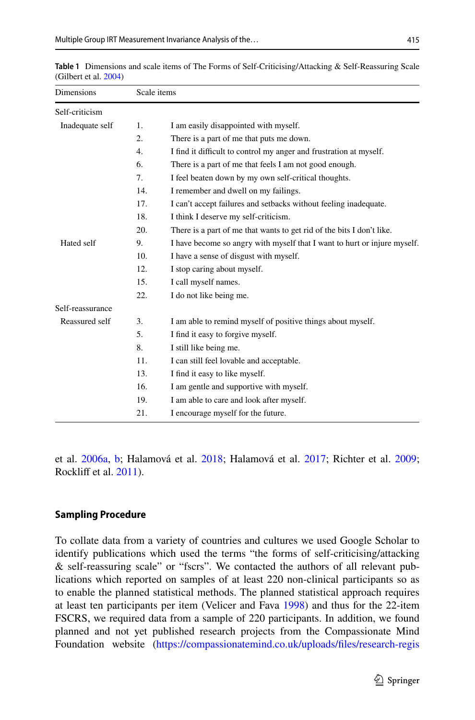| $\overline{O}$   |                  |                                                                          |
|------------------|------------------|--------------------------------------------------------------------------|
| Dimensions       | Scale items      |                                                                          |
| Self-criticism   |                  |                                                                          |
| Inadequate self  | 1.               | I am easily disappointed with myself.                                    |
|                  | $\overline{2}$ . | There is a part of me that puts me down.                                 |
|                  | 4.               | I find it difficult to control my anger and frustration at myself.       |
|                  | 6.               | There is a part of me that feels I am not good enough.                   |
|                  | 7.               | I feel beaten down by my own self-critical thoughts.                     |
|                  | 14.              | I remember and dwell on my failings.                                     |
|                  | 17.              | I can't accept failures and setbacks without feeling inadequate.         |
|                  | 18.              | I think I deserve my self-criticism.                                     |
|                  | 20.              | There is a part of me that wants to get rid of the bits I don't like.    |
| Hated self       | 9.               | I have become so angry with myself that I want to hurt or injure myself. |
|                  | 10.              | I have a sense of disgust with myself.                                   |
|                  | 12.              | I stop caring about myself.                                              |
|                  | 15.              | I call myself names.                                                     |
|                  | 22.              | I do not like being me.                                                  |
| Self-reassurance |                  |                                                                          |
| Reassured self   | 3.               | I am able to remind myself of positive things about myself.              |
|                  | 5.               | I find it easy to forgive myself.                                        |
|                  | 8.               | I still like being me.                                                   |
|                  | 11.              | I can still feel lovable and acceptable.                                 |

<span id="page-4-0"></span>

|                          |  |  | Table 1 Dimensions and scale items of The Forms of Self-Criticising/Attacking & Self-Reassuring Scale |  |
|--------------------------|--|--|-------------------------------------------------------------------------------------------------------|--|
| (Gilbert et al. $2004$ ) |  |  |                                                                                                       |  |

et al. [2006a,](#page-30-8) [b](#page-30-9); Halamová et al. [2018](#page-30-5); Halamová et al. [2017;](#page-30-7) Richter et al. [2009;](#page-32-10) Rockliff et al. [2011\)](#page-32-11).

13. I fnd it easy to like myself.

16. I am gentle and supportive with myself. 19. I am able to care and look after myself. 21. I encourage myself for the future.

## **Sampling Procedure**

To collate data from a variety of countries and cultures we used Google Scholar to identify publications which used the terms "the forms of self-criticising/attacking & self-reassuring scale" or "fscrs". We contacted the authors of all relevant publications which reported on samples of at least 220 non-clinical participants so as to enable the planned statistical methods. The planned statistical approach requires at least ten participants per item (Velicer and Fava [1998](#page-32-12)) and thus for the 22-item FSCRS, we required data from a sample of 220 participants. In addition, we found planned and not yet published research projects from the Compassionate Mind Foundation website ([https://compassionatemind.co.uk/uploads/fles/research-regis](https://compassionatemind.co.uk/uploads/files/research-register-for-website.pdf)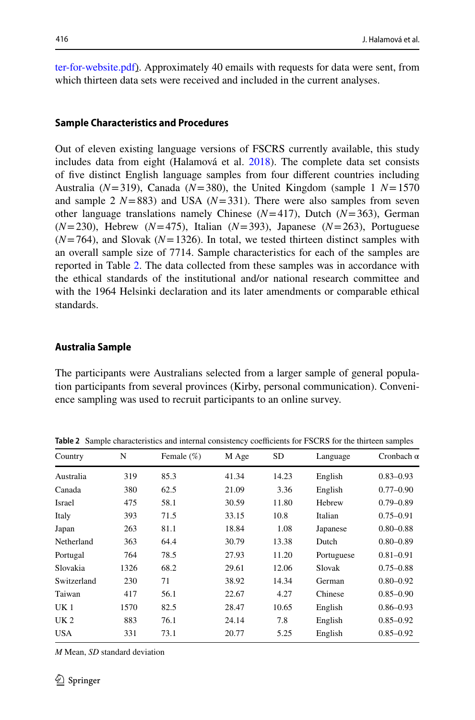[ter-for-website.pdf](https://compassionatemind.co.uk/uploads/files/research-register-for-website.pdf)). Approximately 40 emails with requests for data were sent, from which thirteen data sets were received and included in the current analyses.

### **Sample Characteristics and Procedures**

Out of eleven existing language versions of FSCRS currently available, this study includes data from eight (Halamová et al. [2018](#page-30-5)). The complete data set consists of fve distinct English language samples from four diferent countries including Australia ( $N=319$ ), Canada ( $N=380$ ), the United Kingdom (sample 1  $N=1570$ and sample 2  $N=883$ ) and USA ( $N=331$ ). There were also samples from seven other language translations namely Chinese (*N*=417), Dutch (*N*=363), German (*N*=230), Hebrew (*N*=475), Italian (*N*=393), Japanese (*N*=263), Portuguese  $(N=764)$ , and Slovak  $(N=1326)$ . In total, we tested thirteen distinct samples with an overall sample size of 7714. Sample characteristics for each of the samples are reported in Table [2.](#page-5-0) The data collected from these samples was in accordance with the ethical standards of the institutional and/or national research committee and with the 1964 Helsinki declaration and its later amendments or comparable ethical standards.

### **Australia Sample**

The participants were Australians selected from a larger sample of general population participants from several provinces (Kirby, personal communication). Convenience sampling was used to recruit participants to an online survey.

| Country         | N    | Female $(\%)$ | M Age | <b>SD</b> | Language   | Cronbach $\alpha$ |
|-----------------|------|---------------|-------|-----------|------------|-------------------|
| Australia       | 319  | 85.3          | 41.34 | 14.23     | English    | $0.83 - 0.93$     |
| Canada          | 380  | 62.5          | 21.09 | 3.36      | English    | $0.77 - 0.90$     |
| Israel          | 475  | 58.1          | 30.59 | 11.80     | Hebrew     | $0.79 - 0.89$     |
| Italy           | 393  | 71.5          | 33.15 | 10.8      | Italian    | $0.75 - 0.91$     |
| Japan           | 263  | 81.1          | 18.84 | 1.08      | Japanese   | $0.80 - 0.88$     |
| Netherland      | 363  | 64.4          | 30.79 | 13.38     | Dutch      | $0.80 - 0.89$     |
| Portugal        | 764  | 78.5          | 27.93 | 11.20     | Portuguese | $0.81 - 0.91$     |
| Slovakia        | 1326 | 68.2          | 29.61 | 12.06     | Slovak     | $0.75 - 0.88$     |
| Switzerland     | 230  | 71            | 38.92 | 14.34     | German     | $0.80 - 0.92$     |
| Taiwan          | 417  | 56.1          | 22.67 | 4.27      | Chinese    | $0.85 - 0.90$     |
| UK <sub>1</sub> | 1570 | 82.5          | 28.47 | 10.65     | English    | $0.86 - 0.93$     |
| UK <sub>2</sub> | 883  | 76.1          | 24.14 | 7.8       | English    | $0.85 - 0.92$     |
| <b>USA</b>      | 331  | 73.1          | 20.77 | 5.25      | English    | $0.85 - 0.92$     |
|                 |      |               |       |           |            |                   |

<span id="page-5-0"></span>**Table 2** Sample characteristics and internal consistency coefficients for FSCRS for the thirteen samples

*M* Mean, *SD* standard deviation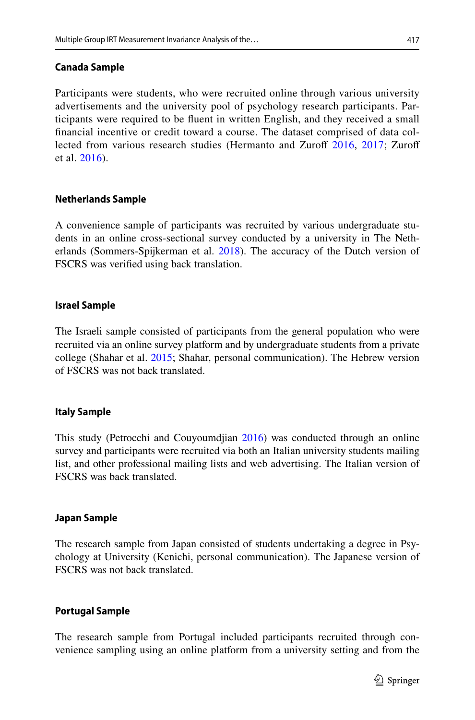### **Canada Sample**

Participants were students, who were recruited online through various university advertisements and the university pool of psychology research participants. Participants were required to be fuent in written English, and they received a small fnancial incentive or credit toward a course. The dataset comprised of data col-lected from various research studies (Hermanto and Zuroff [2016](#page-30-10), [2017](#page-30-11); Zuroff et al. [2016](#page-32-2)).

### **Netherlands Sample**

A convenience sample of participants was recruited by various undergraduate students in an online cross-sectional survey conducted by a university in The Netherlands (Sommers-Spijkerman et al. [2018](#page-32-8)). The accuracy of the Dutch version of FSCRS was verifed using back translation.

### **Israel Sample**

The Israeli sample consisted of participants from the general population who were recruited via an online survey platform and by undergraduate students from a private college (Shahar et al. [2015;](#page-32-9) Shahar, personal communication). The Hebrew version of FSCRS was not back translated.

### **Italy Sample**

This study (Petrocchi and Couyoumdjian [2016\)](#page-31-6) was conducted through an online survey and participants were recruited via both an Italian university students mailing list, and other professional mailing lists and web advertising. The Italian version of FSCRS was back translated.

### **Japan Sample**

The research sample from Japan consisted of students undertaking a degree in Psychology at University (Kenichi, personal communication). The Japanese version of FSCRS was not back translated.

# **Portugal Sample**

The research sample from Portugal included participants recruited through convenience sampling using an online platform from a university setting and from the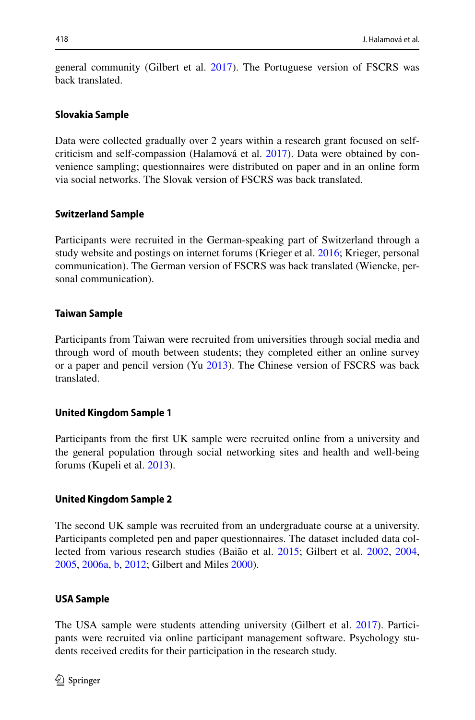general community (Gilbert et al. [2017](#page-30-9)). The Portuguese version of FSCRS was back translated.

# **Slovakia Sample**

Data were collected gradually over 2 years within a research grant focused on selfcriticism and self-compassion (Halamová et al. [2017\)](#page-30-7). Data were obtained by convenience sampling; questionnaires were distributed on paper and in an online form via social networks. The Slovak version of FSCRS was back translated.

## **Switzerland Sample**

Participants were recruited in the German-speaking part of Switzerland through a study website and postings on internet forums (Krieger et al. [2016](#page-31-9); Krieger, personal communication). The German version of FSCRS was back translated (Wiencke, personal communication).

# **Taiwan Sample**

Participants from Taiwan were recruited from universities through social media and through word of mouth between students; they completed either an online survey or a paper and pencil version (Yu [2013](#page-32-13)). The Chinese version of FSCRS was back translated.

## **United Kingdom Sample 1**

Participants from the frst UK sample were recruited online from a university and the general population through social networking sites and health and well-being forums (Kupeli et al. [2013\)](#page-31-8).

# **United Kingdom Sample 2**

The second UK sample was recruited from an undergraduate course at a university. Participants completed pen and paper questionnaires. The dataset included data collected from various research studies (Baião et al. [2015](#page-29-7); Gilbert et al. [2002,](#page-30-12) [2004,](#page-30-4) [2005](#page-30-13), [2006a](#page-30-8), [b](#page-30-14), [2012](#page-30-15); Gilbert and Miles [2000](#page-30-16)).

## **USA Sample**

The USA sample were students attending university (Gilbert et al. [2017](#page-30-9)). Participants were recruited via online participant management software. Psychology students received credits for their participation in the research study.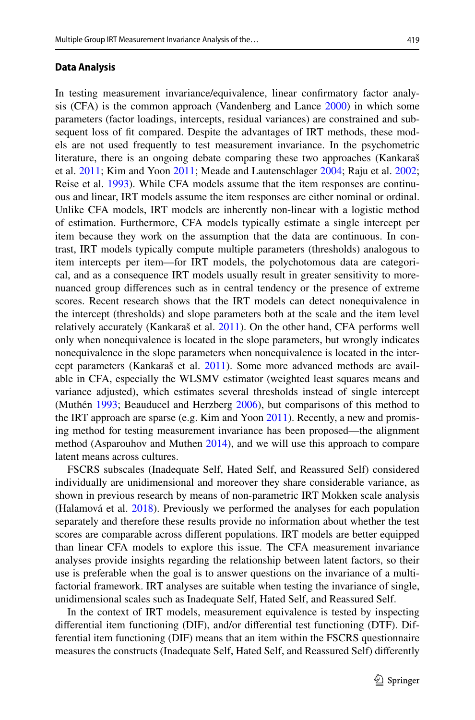#### **Data Analysis**

In testing measurement invariance/equivalence, linear confrmatory factor analysis (CFA) is the common approach (Vandenberg and Lance [2000\)](#page-32-14) in which some parameters (factor loadings, intercepts, residual variances) are constrained and subsequent loss of fit compared. Despite the advantages of IRT methods, these models are not used frequently to test measurement invariance. In the psychometric literature, there is an ongoing debate comparing these two approaches (Kankaraš et al. [2011](#page-31-10); Kim and Yoon [2011;](#page-31-11) Meade and Lautenschlager [2004](#page-31-12); Raju et al. [2002;](#page-31-13) Reise et al. [1993](#page-32-15)). While CFA models assume that the item responses are continuous and linear, IRT models assume the item responses are either nominal or ordinal. Unlike CFA models, IRT models are inherently non-linear with a logistic method of estimation. Furthermore, CFA models typically estimate a single intercept per item because they work on the assumption that the data are continuous. In contrast, IRT models typically compute multiple parameters (thresholds) analogous to item intercepts per item—for IRT models, the polychotomous data are categorical, and as a consequence IRT models usually result in greater sensitivity to morenuanced group diferences such as in central tendency or the presence of extreme scores. Recent research shows that the IRT models can detect nonequivalence in the intercept (thresholds) and slope parameters both at the scale and the item level relatively accurately (Kankaraš et al. [2011](#page-31-10)). On the other hand, CFA performs well only when nonequivalence is located in the slope parameters, but wrongly indicates nonequivalence in the slope parameters when nonequivalence is located in the intercept parameters (Kankaraš et al. [2011](#page-31-10)). Some more advanced methods are available in CFA, especially the WLSMV estimator (weighted least squares means and variance adjusted), which estimates several thresholds instead of single intercept (Muthén [1993;](#page-31-14) Beauducel and Herzberg [2006\)](#page-29-8), but comparisons of this method to the IRT approach are sparse (e.g. Kim and Yoon [2011\)](#page-31-11). Recently, a new and promising method for testing measurement invariance has been proposed—the alignment method (Asparouhov and Muthen [2014\)](#page-29-9), and we will use this approach to compare latent means across cultures.

FSCRS subscales (Inadequate Self, Hated Self, and Reassured Self) considered individually are unidimensional and moreover they share considerable variance, as shown in previous research by means of non-parametric IRT Mokken scale analysis (Halamová et al. [2018\)](#page-30-5). Previously we performed the analyses for each population separately and therefore these results provide no information about whether the test scores are comparable across diferent populations. IRT models are better equipped than linear CFA models to explore this issue. The CFA measurement invariance analyses provide insights regarding the relationship between latent factors, so their use is preferable when the goal is to answer questions on the invariance of a multifactorial framework. IRT analyses are suitable when testing the invariance of single, unidimensional scales such as Inadequate Self, Hated Self, and Reassured Self.

In the context of IRT models, measurement equivalence is tested by inspecting diferential item functioning (DIF), and/or diferential test functioning (DTF). Differential item functioning (DIF) means that an item within the FSCRS questionnaire measures the constructs (Inadequate Self, Hated Self, and Reassured Self) diferently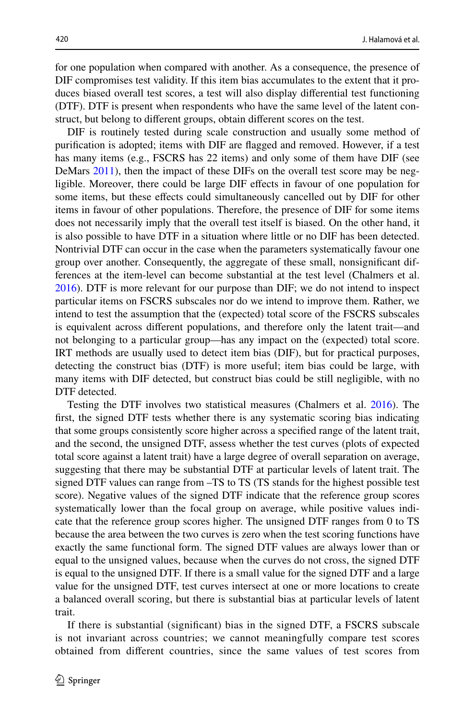for one population when compared with another. As a consequence, the presence of DIF compromises test validity. If this item bias accumulates to the extent that it produces biased overall test scores, a test will also display diferential test functioning (DTF). DTF is present when respondents who have the same level of the latent construct, but belong to diferent groups, obtain diferent scores on the test.

DIF is routinely tested during scale construction and usually some method of purifcation is adopted; items with DIF are fagged and removed. However, if a test has many items (e.g., FSCRS has 22 items) and only some of them have DIF (see DeMars [2011](#page-30-17)), then the impact of these DIFs on the overall test score may be negligible. Moreover, there could be large DIF efects in favour of one population for some items, but these efects could simultaneously cancelled out by DIF for other items in favour of other populations. Therefore, the presence of DIF for some items does not necessarily imply that the overall test itself is biased. On the other hand, it is also possible to have DTF in a situation where little or no DIF has been detected. Nontrivial DTF can occur in the case when the parameters systematically favour one group over another. Consequently, the aggregate of these small, nonsignifcant differences at the item-level can become substantial at the test level (Chalmers et al. [2016](#page-29-10)). DTF is more relevant for our purpose than DIF; we do not intend to inspect particular items on FSCRS subscales nor do we intend to improve them. Rather, we intend to test the assumption that the (expected) total score of the FSCRS subscales is equivalent across diferent populations, and therefore only the latent trait—and not belonging to a particular group—has any impact on the (expected) total score. IRT methods are usually used to detect item bias (DIF), but for practical purposes, detecting the construct bias (DTF) is more useful; item bias could be large, with many items with DIF detected, but construct bias could be still negligible, with no DTF detected.

Testing the DTF involves two statistical measures (Chalmers et al. [2016](#page-29-10)). The frst, the signed DTF tests whether there is any systematic scoring bias indicating that some groups consistently score higher across a specifed range of the latent trait, and the second, the unsigned DTF, assess whether the test curves (plots of expected total score against a latent trait) have a large degree of overall separation on average, suggesting that there may be substantial DTF at particular levels of latent trait. The signed DTF values can range from –TS to TS (TS stands for the highest possible test score). Negative values of the signed DTF indicate that the reference group scores systematically lower than the focal group on average, while positive values indicate that the reference group scores higher. The unsigned DTF ranges from 0 to TS because the area between the two curves is zero when the test scoring functions have exactly the same functional form. The signed DTF values are always lower than or equal to the unsigned values, because when the curves do not cross, the signed DTF is equal to the unsigned DTF. If there is a small value for the signed DTF and a large value for the unsigned DTF, test curves intersect at one or more locations to create a balanced overall scoring, but there is substantial bias at particular levels of latent trait.

If there is substantial (signifcant) bias in the signed DTF, a FSCRS subscale is not invariant across countries; we cannot meaningfully compare test scores obtained from diferent countries, since the same values of test scores from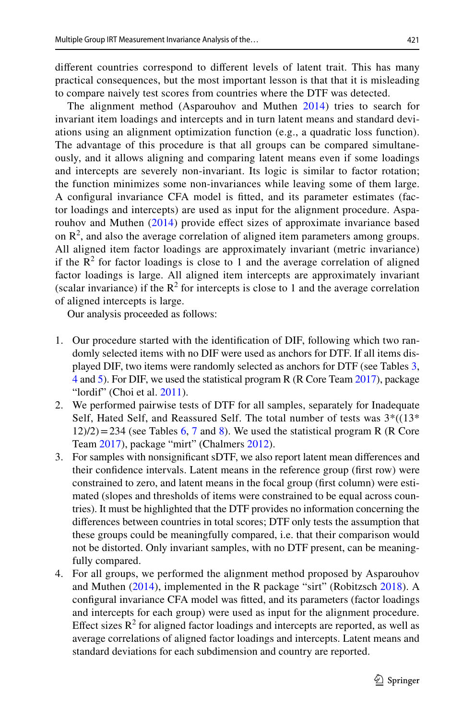diferent countries correspond to diferent levels of latent trait. This has many practical consequences, but the most important lesson is that that it is misleading to compare naively test scores from countries where the DTF was detected.

The alignment method (Asparouhov and Muthen [2014](#page-29-9)) tries to search for invariant item loadings and intercepts and in turn latent means and standard deviations using an alignment optimization function (e.g., a quadratic loss function). The advantage of this procedure is that all groups can be compared simultaneously, and it allows aligning and comparing latent means even if some loadings and intercepts are severely non-invariant. Its logic is similar to factor rotation; the function minimizes some non-invariances while leaving some of them large. A confgural invariance CFA model is ftted, and its parameter estimates (factor loadings and intercepts) are used as input for the alignment procedure. Asparouhov and Muthen [\(2014](#page-29-9)) provide efect sizes of approximate invariance based on  $\mathbb{R}^2$ , and also the average correlation of aligned item parameters among groups. All aligned item factor loadings are approximately invariant (metric invariance) if the  $\mathbb{R}^2$  for factor loadings is close to 1 and the average correlation of aligned factor loadings is large. All aligned item intercepts are approximately invariant (scalar invariance) if the  $R^2$  for intercepts is close to 1 and the average correlation of aligned intercepts is large.

Our analysis proceeded as follows:

- 1. Our procedure started with the identifcation of DIF, following which two randomly selected items with no DIF were used as anchors for DTF. If all items displayed DIF, two items were randomly selected as anchors for DTF (see Tables [3,](#page-11-0) [4](#page-12-0) and [5\)](#page-13-0). For DIF, we used the statistical program R (R Core Team [2017](#page-31-15)), package "lordif" (Choi et al. [2011\)](#page-30-18).
- 2. We performed pairwise tests of DTF for all samples, separately for Inadequate Self, Hated Self, and Reassured Self. The total number of tests was 3\*((13\*  $12/2$ ) = 234 (see Tables [6](#page-14-0), [7](#page-15-0) and [8\)](#page-16-0). We used the statistical program R (R Core Team [2017](#page-31-15)), package "mirt" (Chalmers [2012\)](#page-29-11).
- 3. For samples with nonsignifcant sDTF, we also report latent mean diferences and their confdence intervals. Latent means in the reference group (frst row) were constrained to zero, and latent means in the focal group (frst column) were estimated (slopes and thresholds of items were constrained to be equal across countries). It must be highlighted that the DTF provides no information concerning the diferences between countries in total scores; DTF only tests the assumption that these groups could be meaningfully compared, i.e. that their comparison would not be distorted. Only invariant samples, with no DTF present, can be meaningfully compared.
- 4. For all groups, we performed the alignment method proposed by Asparouhov and Muthen ([2014](#page-29-9)), implemented in the R package "sirt" (Robitzsch [2018](#page-32-16)). A confgural invariance CFA model was ftted, and its parameters (factor loadings and intercepts for each group) were used as input for the alignment procedure. Effect sizes  $R^2$  for aligned factor loadings and intercepts are reported, as well as average correlations of aligned factor loadings and intercepts. Latent means and standard deviations for each subdimension and country are reported.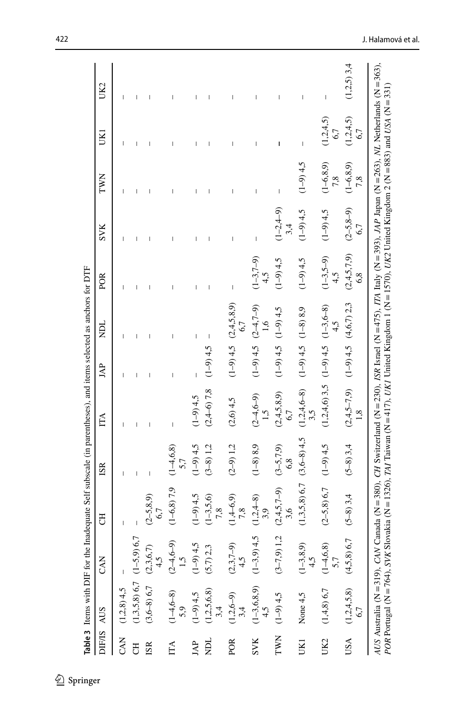<span id="page-11-0"></span>

| <b>DIFFIS</b>             | <b>AUS</b>                       | CAN                 | F                      | <b>ISR</b>           | IТА                                            | <b>AP</b> | <b>TICN</b>                              | POR                     | <b>SVK</b>                                                                                                                                                                                                                                                                                                                                                                       | TWN                            | <b>UKI</b>           | UK <sub>2</sub> |
|---------------------------|----------------------------------|---------------------|------------------------|----------------------|------------------------------------------------|-----------|------------------------------------------|-------------------------|----------------------------------------------------------------------------------------------------------------------------------------------------------------------------------------------------------------------------------------------------------------------------------------------------------------------------------------------------------------------------------|--------------------------------|----------------------|-----------------|
| <b>CAN</b>                | $(1,2,8)$ 4,5                    |                     | I                      |                      |                                                |           |                                          |                         |                                                                                                                                                                                                                                                                                                                                                                                  |                                |                      |                 |
| F                         | $(1,3,5,8)$ 6,7 $(1-5,9)$ 6,     |                     |                        |                      |                                                |           |                                          |                         |                                                                                                                                                                                                                                                                                                                                                                                  |                                |                      |                 |
| <b>ISR</b>                | $(3,6-8)$ 6,7 $(2,3,6,7)$<br>4,5 |                     | $(2-5, 8, 9)$<br>6.7   | I                    |                                                |           |                                          |                         |                                                                                                                                                                                                                                                                                                                                                                                  |                                |                      |                 |
| ITA                       | $(1-4, 6-8)$<br>5,9              | $(2-4, 6-9)$<br>1,5 | $(1-6.8)$ 7,9          | $(1-4, 6, 8)$<br>5,7 | I                                              |           |                                          |                         |                                                                                                                                                                                                                                                                                                                                                                                  |                                |                      |                 |
| $\mathbb{A}^{\mathbf{p}}$ | $(1-9)$ 4,5                      | $(-9)4,5$           | $(1-9)4,5$             | $(1-9)4,5$           | $(1-9)4,5$                                     |           |                                          |                         |                                                                                                                                                                                                                                                                                                                                                                                  |                                |                      |                 |
| È                         | $(1,2,5,6,8)$<br>$3,4$           | $(5,7)$ $2,3$       | $(1-3,5,6)$<br>7,8     | $(3-8)$ 1,2          | $(2,4-6)$ 7,8                                  | $(-9)4,5$ |                                          |                         |                                                                                                                                                                                                                                                                                                                                                                                  |                                |                      |                 |
| POR                       | $(1,2,6-9)$<br>$3,4$             | $(2,3,7-9)$<br>4,5  | $(1,4-6,9)$<br>7,8     | $(2-9)$ 1,2          | (2,6)4,5                                       |           | $(1-9)$ 4,5 $(2,4,5,8,9)$                |                         |                                                                                                                                                                                                                                                                                                                                                                                  |                                |                      |                 |
| <b>SVK</b>                | $(1-3,6,8,9)$                    | $(1-3,9)$ 4,5       | $(1, 2, 4 - 8)$<br>3,9 | $(1-8) 8,9$          | $(2 - 4, 6 - 9)$<br>1,5                        |           | $(1-9)$ 4,5 $(2-4,7-9)$<br>$\frac{6}{1}$ | $(1 - 3, 7 - 9)$<br>4,5 | $\begin{array}{c} \rule{0pt}{2.5ex} \rule{0pt}{2.5ex} \rule{0pt}{2.5ex} \rule{0pt}{2.5ex} \rule{0pt}{2.5ex} \rule{0pt}{2.5ex} \rule{0pt}{2.5ex} \rule{0pt}{2.5ex} \rule{0pt}{2.5ex} \rule{0pt}{2.5ex} \rule{0pt}{2.5ex} \rule{0pt}{2.5ex} \rule{0pt}{2.5ex} \rule{0pt}{2.5ex} \rule{0pt}{2.5ex} \rule{0pt}{2.5ex} \rule{0pt}{2.5ex} \rule{0pt}{2.5ex} \rule{0pt}{2.5ex} \rule{0$ |                                |                      |                 |
| TWN                       | $(1-9)4,5$                       | $(3-7,9)$ 1,2       | $(2,4,5,7-9)$<br>3,6   | $(3-5,7,9)$<br>6,8   | (2,4,5,8,9)<br>6,7                             |           | $(1-9)$ 4,5 $(1-9)$ 4,5                  | $(1-9)4,5$              | $(1 - 2, 4 - 9)$<br>3,4                                                                                                                                                                                                                                                                                                                                                          | $\begin{array}{c} \end{array}$ | I                    | I               |
| UKI                       | None $4,5$                       | $(1-3,8,9)$<br>4,5  | $(1,3,5,8)$ 6,7        | $(3,6-8)$ 4,5        | $(1,2,4,6-8)$ $(1-9)$ 4,5 $(1-8)$ 8,9          |           |                                          | $(1-9)4,5$              | $(1-9)4,5$                                                                                                                                                                                                                                                                                                                                                                       | $(1-9)$ 4,5                    | $\overline{1}$       | Ī               |
| UK2                       | $(1, 4, 8)$ 6,7                  | $(1-4,6,8)$<br>5,7  | $(2-5,8)$ 6,7          | $(1-9)$ 4,5          | $(1,2,4,6)$ 3,5 $(1-9)$ 4,5 $(1-3,6-8)$        |           | 4,5                                      | $(1 - 3, 5 - 9)$<br>4,5 | $(1-9)4,5$                                                                                                                                                                                                                                                                                                                                                                       | $(1 - 6, 8, 9)$<br>7,8         | (1, 2, 4, 5)<br>6,7  | I               |
| <b>USA</b>                | $(1,2,4,5,8)$<br>$6,7$           | $(4,5,8)$ 6,7       | $(5-8)$ 3,4            | $(5-8)$ 3,4          | $(2,4,5-7,9)$ $(1-9)$ 4,5 $(4,6,7)$ 2,3<br>1,8 |           |                                          | (2,4,5,7,9)<br>6,8      | $(2-5,8-9)$<br>6,7                                                                                                                                                                                                                                                                                                                                                               | $(1 - 6, 8, 9)$<br>7,8         | $(1,2,4,5)$<br>$6,7$ | $(1,2,5)$ 3,4   |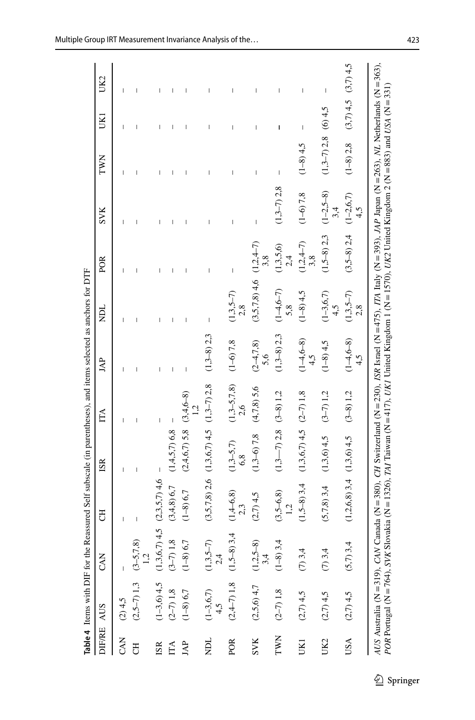<span id="page-12-0"></span>

|                |                                                                            |                               | <b>Table 4</b> Items with DIF for the Reassured Self subscale (in parentheses), and items selected as anchors for DTF                                                                                                                                               |                                               |               |                         |                        |                        |                      |                         |                         |                |
|----------------|----------------------------------------------------------------------------|-------------------------------|---------------------------------------------------------------------------------------------------------------------------------------------------------------------------------------------------------------------------------------------------------------------|-----------------------------------------------|---------------|-------------------------|------------------------|------------------------|----------------------|-------------------------|-------------------------|----------------|
| <b>DIF/RE</b>  | <b>AUS</b>                                                                 | CAN                           | 5                                                                                                                                                                                                                                                                   | <b>ISR</b>                                    | IΤΑ           | JAP                     | <b>NDL</b>             | POR                    | <b>SVK</b>           | TWN                     | UКI                     | UK2            |
| CAN            | (2)4,5                                                                     |                               |                                                                                                                                                                                                                                                                     |                                               |               |                         |                        |                        |                      |                         |                         |                |
| $\overline{5}$ | $(2,5-7)$ 1,3 $(3-5,7,8)$<br>1,2                                           |                               |                                                                                                                                                                                                                                                                     |                                               |               |                         |                        |                        |                      |                         |                         |                |
| <b>ISR</b>     |                                                                            | $(1-3,6)$ 4,5 $(1,3,6,7)$ 4,5 | $(2,3,5,7)$ 4,6                                                                                                                                                                                                                                                     |                                               |               |                         |                        |                        |                      |                         |                         |                |
| ſА             | $(2-7) 1,8$                                                                | $(3-7) 1,8$                   | $(3,4,8)$ 6,7                                                                                                                                                                                                                                                       | $(1,4,5,7)$ 6,8                               |               |                         |                        |                        |                      |                         |                         |                |
| JAP            | $(1-8)$ 6,7                                                                | $(1-8)$ 6,7                   | $(1-8)$ 6,7                                                                                                                                                                                                                                                         | $(2,4,6,7)$ 5,8                               | $(3,4,6-8)$   |                         |                        |                        |                      |                         |                         |                |
| NDL            | $(1-3,6,7)$<br>4,5                                                         | $(1,3,5-7)$<br>$2,4$          |                                                                                                                                                                                                                                                                     | $(3,5,7,8)$ 2,6 $(1,3,6,7)$ 4,5 $(1,3-7)$ 2,8 |               | $(1,3-8)$ 2,3           | I                      |                        |                      |                         |                         |                |
| POR            | $(2,4-7)$ 1,8                                                              | $(1,5-8)$ 3,4                 | $(1,4-6,8)$<br>2,3                                                                                                                                                                                                                                                  | $(1,3-5,7)$<br>6,8                            | $(1,3-5,7,8)$ | $(1-6) 7,8$             | $(1,3,5-7)$            | I                      |                      |                         |                         |                |
| <b>SVK</b>     | $(2,5,6)$ 4,7                                                              | $(1,2,5-8)$<br>$3,4$          | (2,7)4,5                                                                                                                                                                                                                                                            | $(1,3-6)$ 7,8                                 | $(4,7,8)$ 5,6 | $(2 - 4.7.8)$<br>5,6    | $(3,5,7,8)$ 4,6        | $(1, 2, 4 - 7)$        |                      |                         |                         |                |
| TWN            | $(2-7) 1,8$                                                                | $(1-8)$ 3,4                   | $(3,5-6,8)$<br>1,2                                                                                                                                                                                                                                                  | $(1,3-7)$ 2,8                                 | $(3-8)$ 1,2   | $(1,3-8)$ 2,3           | $(1-4, 6-7)$<br>5,8    | (1, 3, 5, 6)<br>2,4    | $(1,3-7)$ 2,8        |                         | I                       |                |
| <b>UKI</b>     | (2,7)4,5                                                                   | (7) 3,4                       | $(1,5-8)$ 3,4                                                                                                                                                                                                                                                       | $(1,3,6,7)$ 4,5 $(2-7)$ 1,8                   |               | $(1-4, 6-8)$<br>4.5     | $(1-8)$ 4,5            | $(1, 2, 4 - 7)$<br>3,8 | $(1-6) 7,8$          | $(1-8)4,5$              | $\overline{1}$          |                |
| UK2            | $(2,7)$ 4,5                                                                | (7) 3,4                       | $(5,7,8)$ 3,4                                                                                                                                                                                                                                                       | $(1,3,6)$ 4,5                                 | $(3-7)$ 1,2   | $(1-8)4,5$              | $(1 - 3, 6, 7)$<br>4,5 | $(1,5-8)$ 2,3          | $(1-2,5-8)$<br>3,4   | $(1,3-7)$ 2,8 $(6)$ 4,5 |                         | $\overline{1}$ |
| USA            | $(2,7)$ 4,5                                                                | $(5,7)$ 3,4                   | $(1,2,6,8)$ 3,4 $(1,3,6)$ 4,5                                                                                                                                                                                                                                       |                                               | $(3-8)$ 1,2   | $(1 - 4, 6 - 8)$<br>4,5 | $(1,3,5-7)$<br>2,8     | $(3,5-8)$ 2,4          | $(1 - 2.6.7)$<br>4,5 | $(1-8)$ 2,8             | $(3,7)$ 4,5 $(3,7)$ 4,5 |                |
|                | $POR$ Portugal ( $N = 764$ ), $SVK$ Sl<br>AUS Australia ( $N = 319$ ), CAN |                               | Canada (N = 380), CH Switzerland (N = 230), ISR Israel (N = 475), ITA Italy (N = 393), IAP Japan (N = 263), NL Netherlands (N = 363),<br>ovakia (N = 1326), TAI Taiwan (N = 417), UKI United Kingdom 1 (N = 1570), UK2 United Kingdom 2 (N = 883) and USA (N = 331) |                                               |               |                         |                        |                        |                      |                         |                         |                |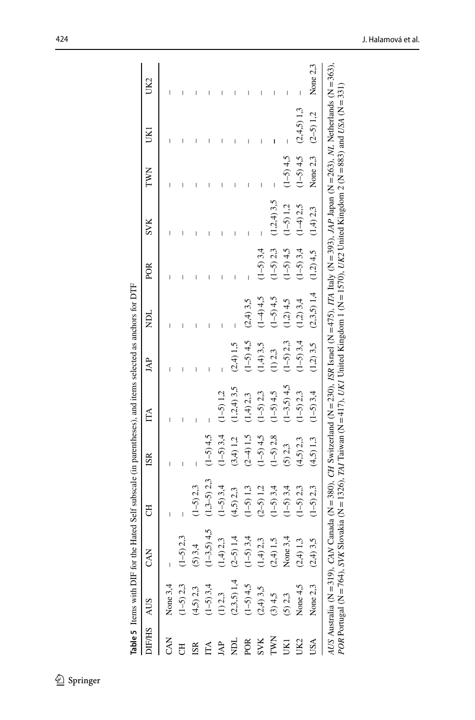|                           |                                                  |                                                                                        | $\mathbf{r}$ is the component of the component of $\mathbf{r}$ is the component of the component of the component of the component of the component of the component of the component of the component of the component of the compon                                                                                          |             |               |              |               |             |               |            |                      |          |
|---------------------------|--------------------------------------------------|----------------------------------------------------------------------------------------|--------------------------------------------------------------------------------------------------------------------------------------------------------------------------------------------------------------------------------------------------------------------------------------------------------------------------------|-------------|---------------|--------------|---------------|-------------|---------------|------------|----------------------|----------|
| DIF/HS AUS                |                                                  | CAN                                                                                    | 5                                                                                                                                                                                                                                                                                                                              | <b>ISR</b>  | É             | AP           | E             | POR         | <b>SVK</b>    | TWN        |                      | UK2      |
| CAN                       | None $3,4$                                       |                                                                                        |                                                                                                                                                                                                                                                                                                                                |             |               |              |               |             |               |            |                      |          |
| FO                        |                                                  | $(1-5)$                                                                                |                                                                                                                                                                                                                                                                                                                                |             |               |              |               |             |               |            |                      |          |
|                           |                                                  | (5)3,4                                                                                 | $(1-5) 2,3$                                                                                                                                                                                                                                                                                                                    |             |               |              |               |             |               |            |                      |          |
| $\overline{\text{BR}}$ TM |                                                  |                                                                                        | $(1,3-5)$ 2,3                                                                                                                                                                                                                                                                                                                  | $(1-5)4,5$  |               |              |               |             |               |            |                      |          |
| IAP                       | $(1-5)$ 2,3<br>(4,5) 2,3<br>(1-5) 3,4<br>(1) 2,3 | $(1-3,5)$ 4,5<br>$(1,4)$ 2,3                                                           | $(1-5)$ 3,4                                                                                                                                                                                                                                                                                                                    | $(1-5)$ 3,4 | $(1-5)$ 1,2   |              |               |             |               |            |                      |          |
| <b>Q</b>                  | $(2,3,5)$ 1,4<br>$(1-5)$ 4,5                     |                                                                                        | $(4,5)$ 2,3                                                                                                                                                                                                                                                                                                                    | $(3,4)$ 1,2 | $(1,2,4)$ 3,5 | $(2,4)$ 1,5  |               |             |               |            |                      |          |
| POR                       |                                                  |                                                                                        | $(1-5) 1,3$                                                                                                                                                                                                                                                                                                                    | $(2-4) 1,5$ | $(1,4)$ 2,3   | $(1-5)4,5$   | $(2, 4)$ 3,5  |             |               |            |                      |          |
|                           |                                                  |                                                                                        | $(2-5)$ 1,2                                                                                                                                                                                                                                                                                                                    | $(1-5)4,5$  | $(1-5)$ 2,3   | $(1, 4)$ 3,5 | $(1-4) 4,5$   | $(1-5)$ 3,4 |               |            |                      |          |
| $_{\rm TW}^{\rm SVK}$     | $(2,4)$ 3,5<br>(3) 4,5<br>(5) 2,3                | $(2-5)$ 1,4<br>$(1-5)$ 3,4<br>$(1,4)$ 2,3<br>$(2,4)$ 1,5<br>$(2,4)$ 1,3<br>$(2,4)$ 1,3 | $(1-5)$ 3,4                                                                                                                                                                                                                                                                                                                    | $(1-5)$ 2,8 | $(1-5)4,5$    | (1) 2,3      | $(1-5)4,5$    | $(1-5)$ 2,3 | $(1,2,4)$ 3,5 |            |                      |          |
| <b>INI</b>                |                                                  |                                                                                        | $(1-5)$ 3,4                                                                                                                                                                                                                                                                                                                    | (5) 2,3     | $(1-3,5)$ 4,5 | $(1-5)$ 2,3  | (1,2)4,5      | $(1-5)$ 4,5 | $(1-5)$ 1,2   | $(1-5)4,5$ |                      |          |
| JK2                       | None $4,5$                                       |                                                                                        | $(1-5)$ 2,3                                                                                                                                                                                                                                                                                                                    | $(4,5)$ 2,3 | $(1-5)$ 2,3   | $(1-5)$ 3,4  | $(1,2)$ 3,4   | $(1-5)$ 3,4 | $(1-4) 2,5$   | $(1-5)4,5$ | $(2,4,5)$ 1,3        |          |
| <b>JSA</b>                | None 2,3                                         | $(2,4)$ 3,5                                                                            | $(1-5)$ 2,3                                                                                                                                                                                                                                                                                                                    | $(4,5)$ 1,3 | $(1-5)$ 3,4   | $(1,2)$ 3,5  | $(2,3,5)$ 1,4 | $(1,2)$ 4,5 | $(1,4)$ 2,3   |            | None 2,3 $(2-5)$ 1,2 | None 2,3 |
|                           |                                                  |                                                                                        | AUS Australia (N = 319), CAN Canada (N = 380), CH Switzerland (N = 230), ISR Israel (N = 475), ITA Italy (N = 393), JAP Japan (N = 263), WL Netherlands (N = 363),<br>POR Portugal (N = 764), SVK Slovakia (N = 1326), TAI Taiwan (N = 417), UKI United Kingdom 1 (N = 1570), UK2 United Kingdom 2 (N = 883) and USA (N = 331) |             |               |              |               |             |               |            |                      |          |

<span id="page-13-0"></span>Table 5 Items with DIF for the Hated Self subscale (in parentheses), and items selected as anchors for DTF **Table 5** Items with DIF for the Hated Self subscale (in parentheses), and items selected as anchors for DTF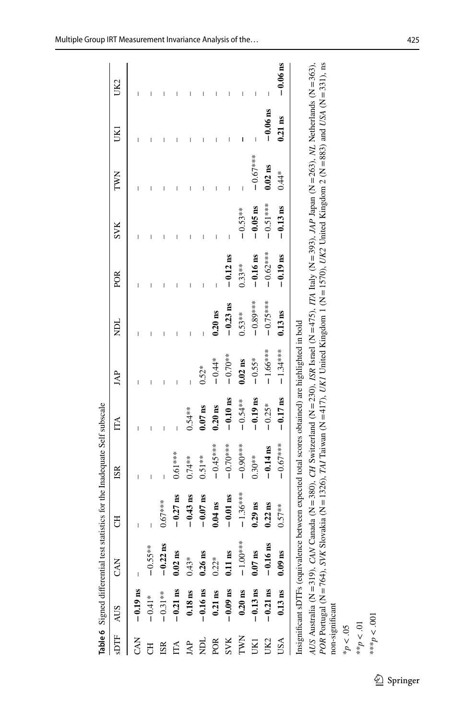|                 |                                      | The contract with the community of the community of the community of the community of the community of the community of the community of the community of the community of the community of the community of the community of |                                                                                                                                                                                                                                           |            |            |            |            |            |            |            |            |            |
|-----------------|--------------------------------------|-------------------------------------------------------------------------------------------------------------------------------------------------------------------------------------------------------------------------------|-------------------------------------------------------------------------------------------------------------------------------------------------------------------------------------------------------------------------------------------|------------|------------|------------|------------|------------|------------|------------|------------|------------|
| <b>SDTF</b>     | <b>AUS</b>                           | CAN                                                                                                                                                                                                                           | F                                                                                                                                                                                                                                         | <b>ISR</b> | ÉÁ         | <b>AP</b>  | E          | POR        | <b>SVK</b> | TWN        | š          | UK2        |
| CAN             | $-0.19$ ns                           |                                                                                                                                                                                                                               |                                                                                                                                                                                                                                           |            |            |            | I          |            |            |            | I          |            |
| 5               | $-0.41*$                             | $-0.55***$                                                                                                                                                                                                                    |                                                                                                                                                                                                                                           | Ī          |            |            |            |            |            |            | I          |            |
| <b>ISR</b>      | $-0.31**$                            | $-0.22$ ns                                                                                                                                                                                                                    | $0.67***$                                                                                                                                                                                                                                 |            |            |            |            |            |            |            | I          |            |
| É               | $-0.21$ ns                           | $0.02$ ns                                                                                                                                                                                                                     | $-0.27$ ns                                                                                                                                                                                                                                | $0.61***$  |            |            |            |            |            |            |            |            |
| <b>AP</b>       | $0.18~\mathrm{ns}$                   | $0.43*$                                                                                                                                                                                                                       | $-0.43$ ns                                                                                                                                                                                                                                | $0.74**$   | $0.54**$   |            |            |            |            |            |            |            |
| Σ               | $-0.16$ ns                           | $0.26$ ns                                                                                                                                                                                                                     | $-0.07$ ns                                                                                                                                                                                                                                | $0.51**$   | $0.07$ ns  | $0.52*$    |            |            |            |            |            |            |
| POR             | $0.21$ ns                            | $0.22*$                                                                                                                                                                                                                       | $0.04$ ns                                                                                                                                                                                                                                 | $-0.45***$ | $0.20$ ns  | $-0.44*$   | $0.20$ ns  |            |            |            |            |            |
| <b>SVK</b>      | $-0.09$ ns                           | $0.11$ ns                                                                                                                                                                                                                     | $-0.01$ ns                                                                                                                                                                                                                                | $-0.70***$ | $-0.10$ ns | $-0.70$ ** | $-0.23$ ns | $-0.12$ ns |            |            |            |            |
| TWN             | $0.20$ ns                            | $-1.00$                                                                                                                                                                                                                       | $-1.36***$                                                                                                                                                                                                                                | $-0.90***$ | $-0.54**$  | $0.02$ ns  | $0.53**$   | $0.33**$   | $-0.53**$  |            |            |            |
| UКI             | $-0.13$ ns                           | $0.07$ ns                                                                                                                                                                                                                     | $0.29$ ns                                                                                                                                                                                                                                 | $0.30**$   | $-0.19$ ns | $-0.55*$   | $-0.89***$ | $-0.16$ ns | $-0.05$ ns | $-0.67***$ | I          |            |
| UK2             | $-0.21$ ns                           | $-0.16$ ns                                                                                                                                                                                                                    | $0.22$ ns                                                                                                                                                                                                                                 | $-0.14$ ns | $-0.25*$   | $-1.66***$ | $-0.75***$ | $-0.62***$ | $-0.51***$ | $0.02$ ns  | $-0.06$ ns | I          |
| USA             | $0.13$ ns                            | $0.09$ ns                                                                                                                                                                                                                     | $0.57***$                                                                                                                                                                                                                                 | $-0.67***$ | $-0.17$ ns | $-1.34***$ | $0.13$ ns  | $-0.19$ ns | $-0.13$ ns | $0.44*$    | $0.21$ ns  | $-0.06$ ns |
|                 | $AUS$ Australia ( $N = 319$ ), $CAN$ |                                                                                                                                                                                                                               | Canada (N = 380), CH Switzerland (N = 230), ISR Israel (N = 475), ITA Italy (N = 393), JAP Japan (N = 263), NL Netherlands (N = 363),<br>Insignificant sDTFs (equivalence between expected total scores obtained) are highlighted in bold |            |            |            |            |            |            |            |            |            |
| non-significant |                                      |                                                                                                                                                                                                                               | POR Portugal (N = $764$ ), SVK Slovakia (N = 1326), TAI Taiwan (N = 417), UKI United Kingdom 1 (N = 1570), UK2 United Kingdom 2 (N = 883) and USA (N = 331), ns                                                                           |            |            |            |            |            |            |            |            |            |
|                 |                                      |                                                                                                                                                                                                                               |                                                                                                                                                                                                                                           |            |            |            |            |            |            |            |            |            |

**Table 6** Signed differential test statistics for the Inadequate Self subscale **Table 6** Signed diferential test statistics for the Inadequate Self subscale

<span id="page-14-0"></span> $p < 0.5$ 

 $\log p < 0$ 

 $100^\circ > d_{***}$ \*\*\**p* < .001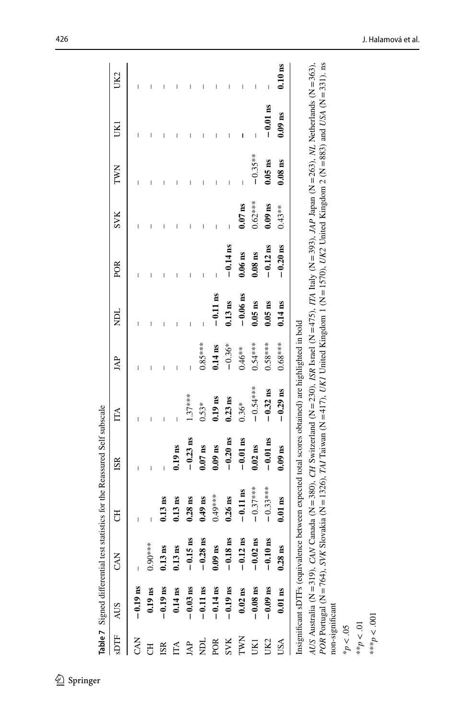| <b>SDTF</b> | <b>AUS</b>         | CAN                     | 5          | <b>ISR</b> | ĽЦ         | <b>AP</b> | <b>NON</b> | POR               | <b>SVK</b> | TWN                      | SЭ         | UK2       |
|-------------|--------------------|-------------------------|------------|------------|------------|-----------|------------|-------------------|------------|--------------------------|------------|-----------|
| <b>ZAN</b>  | $-0.19$ ns         |                         | I          | I          |            |           | I          | I                 | I          | I                        | I          |           |
| FO          | $0.19$ ns          | $0.90***$               |            | I          |            |           |            |                   |            |                          |            |           |
| <b>ISR</b>  | $-0.19$ ns         | $0.13$ ns               | $0.13$ ns  |            |            |           |            |                   |            |                          |            |           |
| É           | $0.14$ ns          | $0.13$ ns               | $0.13$ ns  | $0.19$ ns  | Ï          |           |            |                   |            |                          |            |           |
| <b>AP</b>   | $-0.03$ ns         | ns<br>$-0.15$           | $0.28$ ns  | $-0.23$ ns | $1.37***$  |           | Ï          |                   |            |                          |            |           |
| Ξ           | $-0.11$ ns         | ns<br>$-0.28$           | $0.49$ ns  | $0.07$ ns  | $0.53*$    | $0.85***$ |            |                   |            |                          |            |           |
| POR         | $-0.14$ ns         | $0.09 \:\rm ns$         | $0.49***$  | $0.09$ ns  | $0.19$ ns  | $0.14$ ns | $-0.11$ ns |                   |            |                          |            |           |
| <b>SVK</b>  | $-0.19$ ns         | ns<br>$-0.18$           | $0.26$ ns  | $-0.20$ ns | $0.23$ ns  | $-0.36*$  | $0.13$ ns  | $-0.14$ ns        |            | ī                        |            |           |
| TWN         | $0.02~\mathrm{ns}$ | $\mathbf{a}$<br>$-0.12$ | $-0.11$ ns | $-0.01$ ns | $0.36*$    | $0.46***$ | $-0.06$ ns | $0.06$ ns         | $0.07$ ns  | $\overline{\phantom{a}}$ |            |           |
| UK1         | $-0.08$ ns         | ns<br>$-0.02$           | $-0.37***$ | $0.02$ ns  | $-0.54***$ | $0.54***$ | $0.05$ ns  | $0.08 \text{ ns}$ | $0.62***$  | $-0.35**$                | Ï          |           |
| UK2         | $-0.09$ ns         | ns<br>$-0.10$           | $-0.33***$ | $-0.01$ ns | $-0.32$ ns | $0.58***$ | $0.05$ ns  | $-0.12$ ns        | $0.09$ ns  | $0.05$ ns                | $-0.01$ ns | I         |
| USA         | $0.01$ ns          | $0.28$ ns               | $0.01$ ns  | $0.09$ ns  | $-0.29$ ns | $0.68***$ | $0.14$ ns  | $-0.20$ ns        | $0.43**$   | $0.08$ ns                | $0.09$ ns  | $0.10$ ns |

POR Portugal (N = 764), SVK Slovakia (N = 1326), TAI Taiwan (N = 417), UKI United Kingdom 1 (N = 1570), UK2 United Kingdom 2 (N = 883) and USA (N = 331). ns *POR* Portugal (N=764), *SVK* Slovakia (N=1326), *TAI* Taiwan (N=417), *UK1* United Kingdom 1 (N=1570), *UK2* United Kingdom 2 (N=883) and *USA* (N=331). ns non-significant non-signifcant

<span id="page-15-0"></span> $p<0.5$ 

 $10\cdot > d_{**}$ 

 $100 \cdot > d_{***}$ \*\*\**p* < .001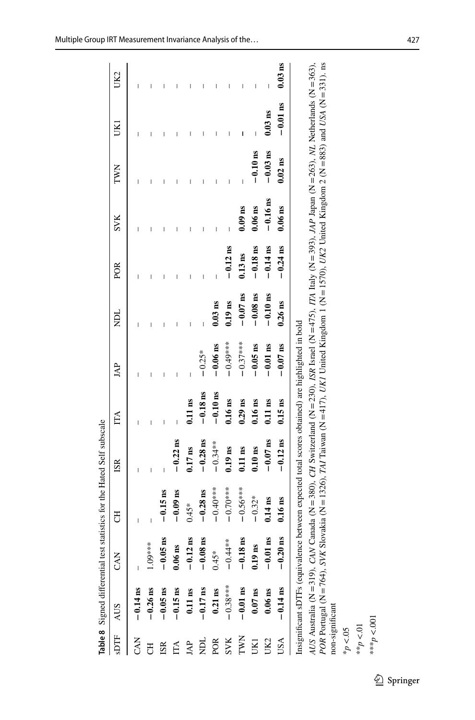| i<br>$\frac{1}{r}$                        |  |
|-------------------------------------------|--|
| E<br>T<br>į<br>ï                          |  |
| ļ<br>ו<br>ו                               |  |
| $\ddot{\phantom{a}}$<br>${1\over 2}$<br>j |  |
| Į                                         |  |

| <b>SDTF</b>     | <b>AUS</b>             | CAN                      | FO          | <b>ISR</b>           | ITA                                       | JAP                                                                                                                                                                                                                                                                                                                                                                                               | <b>NOD</b>        | POR        | <b>SVK</b> | TWN        | UКI        | UK2       |
|-----------------|------------------------|--------------------------|-------------|----------------------|-------------------------------------------|---------------------------------------------------------------------------------------------------------------------------------------------------------------------------------------------------------------------------------------------------------------------------------------------------------------------------------------------------------------------------------------------------|-------------------|------------|------------|------------|------------|-----------|
| CAN             | $-0.14$ ns             |                          |             |                      |                                           |                                                                                                                                                                                                                                                                                                                                                                                                   |                   |            |            |            |            |           |
| 5               | $-0.26$ ns             | $1.09***$                | Ī           |                      |                                           |                                                                                                                                                                                                                                                                                                                                                                                                   |                   |            |            |            |            |           |
| <b>ISR</b>      | $-0.05$ ns             | ms<br>$-0.05$            | $-0.15$ ns  |                      |                                           |                                                                                                                                                                                                                                                                                                                                                                                                   |                   |            |            |            |            |           |
| ľА              | $-0.15$ ns             | $0.06~\mathrm{ns}$       | $-0.09$ ns  | $-0.22$ ns           |                                           |                                                                                                                                                                                                                                                                                                                                                                                                   |                   |            |            |            |            |           |
| JAP             |                        |                          | $0.45*$     | $0.17$ ns            | $0.11$ ns                                 |                                                                                                                                                                                                                                                                                                                                                                                                   |                   |            |            |            |            |           |
| $\rm N\bar{D}$  | $-0.11$ ns<br>-0.17 ns | $-0.12$ ns<br>$-0.08$ ns | $-0.28$ ns  | $-0.28$ ns           | $-0.18$ ns                                | $-0.25*$                                                                                                                                                                                                                                                                                                                                                                                          |                   |            |            |            |            |           |
| POR             | $0.21$ ns              | $0.45*$                  | $+ * * + 0$ | $-0.34**$            | $-0.10$ ns                                | $-0.06$ ns                                                                                                                                                                                                                                                                                                                                                                                        | $0.03$ ns         |            |            |            |            |           |
| <b>SVK</b>      | $-0.38***$             | $-0.44**$                | $-0.70***$  | $0.19 \,\mathrm{ns}$ | $0.16~\mathrm{ns}$                        | $-0.49**$                                                                                                                                                                                                                                                                                                                                                                                         | $0.19 \text{ ns}$ | $-0.12$ ns |            |            |            |           |
| <b>TWN</b>      | $-0.01$ ns             | $-0.18$ ns               | $-0.56***$  | $0.11$ ns            |                                           | $-0.37***$                                                                                                                                                                                                                                                                                                                                                                                        | $-0.07$ ns        | $1.13$ ns  | $0.09$ ns  |            |            |           |
| <b>UKI</b>      | $0.07~\mathrm{ns}$     | $0.19~\mathrm{ns}$       | $-0.32*$    | $0.10~\mathrm{ns}$   | $\frac{0.29 \text{ ns}}{0.16 \text{ ns}}$ | $-0.05$ ns                                                                                                                                                                                                                                                                                                                                                                                        | $-0.08$ ns        | $-0.18$ ns | $0.06$ ns  | $-0.10$ ns |            |           |
| UK <sub>2</sub> | $0.06 \text{ ns}$      | $-0.01$ ns               | $0.14$ ns   | $-0.07$ ns           | $0.11$ ns                                 | $-0.01$ ns                                                                                                                                                                                                                                                                                                                                                                                        | $-0.10$ ns        | $-0.14$ ns | $-0.16$ ns | $-0.03$ ns | $0.03$ ns  |           |
| USA             | $-0.14$ ns             | $-0.20$ ns               | $0.16$ ns   | $-0.12$ ns           | $0.15$ ns                                 | $-0.07$ ns                                                                                                                                                                                                                                                                                                                                                                                        | $0.26$ ns         | $-0.24$ ns | $0.06$ ns  | $0.02$ ns  | $-0.01$ ns | $0.03$ ns |
|                 |                        |                          |             |                      |                                           | $\frac{1}{2}$ and $\frac{1}{2}$ and $\frac{1}{2}$ and $\frac{1}{2}$ and $\frac{1}{2}$ and $\frac{1}{2}$ and $\frac{1}{2}$ and $\frac{1}{2}$ and $\frac{1}{2}$ and $\frac{1}{2}$ and $\frac{1}{2}$ and $\frac{1}{2}$ and $\frac{1}{2}$ and $\frac{1}{2}$ and $\frac{1}{2}$ and $\frac{1}{2}$ a<br>Insignificant sDTFs (equivalence between expected total scores obtained) are highlighted in bold |                   |            |            |            |            |           |

AUS Australia (N=319), CAN Canada (N=380), CH Switzerland (N=230), ISR Israel (N=475), ITA Italy (N=393), AP Japan (N=203), NZ Netherlands (N=303), AN 2014 POR Portugal (N = 764), SVK Slovakia (N = 1326), TAI Taiwan (N = 417), UKI United Kingdom 1 (N = 1570), UK2 United Kingdom 2 (N = 883) and USA (N = 331). ns *AUS* Australia (N=319), *CAN* Canada (N=380), *CH* Switzerland (N=230), *ISR* Israel (N=475), *ITA* Italy (N=393), *JAP* Japan (N=263), *NL* Netherlands (N=363), *POR* Portugal (N=764), *SVK* Slovakia (N=1326), *TAI* Taiwan (N=417), *UK1* United Kingdom 1 (N=1570), *UK2* United Kingdom 2 (N=883) and *USA* (N=331). ns non-significant non-signifcant

<span id="page-16-0"></span>\**p* <.05

 $\epsilon_{**}$ 

\*\*\*p <.001 \*\*\**p* <.001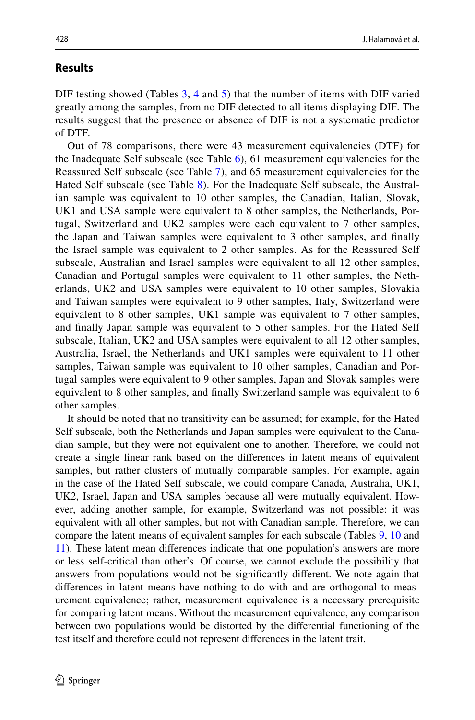# **Results**

DIF testing showed (Tables [3,](#page-11-0) [4](#page-12-0) and [5](#page-13-0)) that the number of items with DIF varied greatly among the samples, from no DIF detected to all items displaying DIF. The results suggest that the presence or absence of DIF is not a systematic predictor of DTF.

Out of 78 comparisons, there were 43 measurement equivalencies (DTF) for the Inadequate Self subscale (see Table [6\)](#page-14-0), 61 measurement equivalencies for the Reassured Self subscale (see Table [7](#page-15-0)), and 65 measurement equivalencies for the Hated Self subscale (see Table [8\)](#page-16-0). For the Inadequate Self subscale, the Australian sample was equivalent to 10 other samples, the Canadian, Italian, Slovak, UK1 and USA sample were equivalent to 8 other samples, the Netherlands, Portugal, Switzerland and UK2 samples were each equivalent to 7 other samples, the Japan and Taiwan samples were equivalent to 3 other samples, and fnally the Israel sample was equivalent to 2 other samples. As for the Reassured Self subscale, Australian and Israel samples were equivalent to all 12 other samples, Canadian and Portugal samples were equivalent to 11 other samples, the Netherlands, UK2 and USA samples were equivalent to 10 other samples, Slovakia and Taiwan samples were equivalent to 9 other samples, Italy, Switzerland were equivalent to 8 other samples, UK1 sample was equivalent to 7 other samples, and fnally Japan sample was equivalent to 5 other samples. For the Hated Self subscale, Italian, UK2 and USA samples were equivalent to all 12 other samples, Australia, Israel, the Netherlands and UK1 samples were equivalent to 11 other samples, Taiwan sample was equivalent to 10 other samples, Canadian and Portugal samples were equivalent to 9 other samples, Japan and Slovak samples were equivalent to 8 other samples, and fnally Switzerland sample was equivalent to 6 other samples.

It should be noted that no transitivity can be assumed; for example, for the Hated Self subscale, both the Netherlands and Japan samples were equivalent to the Canadian sample, but they were not equivalent one to another. Therefore, we could not create a single linear rank based on the diferences in latent means of equivalent samples, but rather clusters of mutually comparable samples. For example, again in the case of the Hated Self subscale, we could compare Canada, Australia, UK1, UK2, Israel, Japan and USA samples because all were mutually equivalent. However, adding another sample, for example, Switzerland was not possible: it was equivalent with all other samples, but not with Canadian sample. Therefore, we can compare the latent means of equivalent samples for each subscale (Tables [9,](#page-18-0) [10](#page-20-0) and [11](#page-22-0)). These latent mean diferences indicate that one population's answers are more or less self-critical than other's. Of course, we cannot exclude the possibility that answers from populations would not be signifcantly diferent. We note again that diferences in latent means have nothing to do with and are orthogonal to measurement equivalence; rather, measurement equivalence is a necessary prerequisite for comparing latent means. Without the measurement equivalence, any comparison between two populations would be distorted by the diferential functioning of the test itself and therefore could not represent diferences in the latent trait.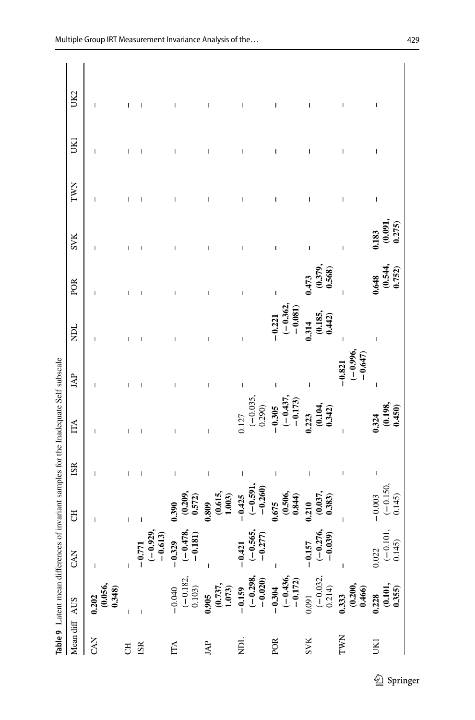<span id="page-18-0"></span>

| l                                   |
|-------------------------------------|
|                                     |
|                                     |
|                                     |
| ı<br>í                              |
| ֖֢ׅ֧ׅ֧֚֚֚֚֚֚֚֚֚֚֚֚֚֚֚֚֚֚֬֡֡֡֝֝֡֡֡֬֝ |
| $\frac{1}{2}$                       |
|                                     |
|                                     |
| :                                   |
|                                     |
| I                                   |
| r<br>Ć                              |
|                                     |

|              |                                                                                                                                                                                                                                                                                                                                                                                  | Table 9 Latent mean differences of invariant samples for the Inadequate Self subscale |                                                           |            |                                    |                                     |                                |                         |                                                                                                                                                                                                                                                                                                                                                                                  |     |            |     |
|--------------|----------------------------------------------------------------------------------------------------------------------------------------------------------------------------------------------------------------------------------------------------------------------------------------------------------------------------------------------------------------------------------|---------------------------------------------------------------------------------------|-----------------------------------------------------------|------------|------------------------------------|-------------------------------------|--------------------------------|-------------------------|----------------------------------------------------------------------------------------------------------------------------------------------------------------------------------------------------------------------------------------------------------------------------------------------------------------------------------------------------------------------------------|-----|------------|-----|
| Mean diff    | <b>AUS</b>                                                                                                                                                                                                                                                                                                                                                                       | CAN                                                                                   | F                                                         | <b>ISR</b> | ĽЦ                                 | <b>AP</b>                           | <b>NON</b>                     | POR                     | <b>SVK</b>                                                                                                                                                                                                                                                                                                                                                                       | TWN | <b>INI</b> | UK2 |
| CAN          | (0.056, 0.348)<br>0.202                                                                                                                                                                                                                                                                                                                                                          |                                                                                       | T                                                         | T          |                                    | T                                   |                                | I                       | ı                                                                                                                                                                                                                                                                                                                                                                                |     | T          | T   |
| F            | $\begin{array}{c} \rule{0pt}{2.5ex} \rule{0pt}{2.5ex} \rule{0pt}{2.5ex} \rule{0pt}{2.5ex} \rule{0pt}{2.5ex} \rule{0pt}{2.5ex} \rule{0pt}{2.5ex} \rule{0pt}{2.5ex} \rule{0pt}{2.5ex} \rule{0pt}{2.5ex} \rule{0pt}{2.5ex} \rule{0pt}{2.5ex} \rule{0pt}{2.5ex} \rule{0pt}{2.5ex} \rule{0pt}{2.5ex} \rule{0pt}{2.5ex} \rule{0pt}{2.5ex} \rule{0pt}{2.5ex} \rule{0pt}{2.5ex} \rule{0$ |                                                                                       | $\overline{1}$                                            |            |                                    | T                                   |                                | ı                       |                                                                                                                                                                                                                                                                                                                                                                                  | ı   | ı          | ı   |
| <b>ISR</b>   | $\overline{\phantom{a}}$                                                                                                                                                                                                                                                                                                                                                         |                                                                                       | ı                                                         |            |                                    | I                                   |                                | I                       |                                                                                                                                                                                                                                                                                                                                                                                  | I   | I          |     |
| ITA          | $-0.040$<br>$(-0.182,$<br>0.103)                                                                                                                                                                                                                                                                                                                                                 | $-0.771$<br>$(-0.929,$<br>$-0.613)$<br>$-0.329$<br>$(-0.478,$<br>$-0.181)$            | $\begin{array}{c} 0.390 \\ (0.209, \\ 0.572) \end{array}$ | I          |                                    | I                                   |                                | I                       |                                                                                                                                                                                                                                                                                                                                                                                  | I   | I          |     |
| $_{\rm IAP}$ | $\frac{0.905}{(0.737)}$<br>1.073)                                                                                                                                                                                                                                                                                                                                                |                                                                                       | (0.615, 1.003)<br>0.809                                   |            |                                    |                                     |                                | I                       |                                                                                                                                                                                                                                                                                                                                                                                  |     | I          |     |
| <b>Q</b>     |                                                                                                                                                                                                                                                                                                                                                                                  | $-0.421$<br>$(-0.565,$<br>$-0.277)$                                                   | $-0.260$<br>$(-0.591)$<br>$-0.425$                        |            | $(-0.035, 0.290)$<br>0.127         | ı                                   |                                |                         |                                                                                                                                                                                                                                                                                                                                                                                  |     |            |     |
| POR          | $-0.159$<br>$(-0.298,$<br>$-0.200)$<br>$-0.304$<br>$(-0.346,$<br>$(-0.436,$<br>$(-0.172)$<br>$(-0.032,$<br>$(-0.032,$                                                                                                                                                                                                                                                            |                                                                                       | (0.506, 0.844)<br>0.675                                   |            | $(-0.437,$<br>$-0.173$<br>$-0.305$ | ı                                   | $(-0.362, -0.081)$<br>$-0.221$ | ı                       | I                                                                                                                                                                                                                                                                                                                                                                                |     | I          |     |
| <b>SVK</b>   |                                                                                                                                                                                                                                                                                                                                                                                  | $-0.157$<br>$(-0.276,$<br>$-0.039)$                                                   | (0.037, 0.383)<br>0.210                                   |            | (0.104, 0.342)<br>0.223            | I                                   | (0.185, 0.442)<br>0.314        | (0.379, 0.568)<br>0.473 | I                                                                                                                                                                                                                                                                                                                                                                                |     | ı          |     |
| <b>TWN</b>   | $\begin{array}{c} 0.333 \\ (0.200, \\ 0.466) \end{array}$                                                                                                                                                                                                                                                                                                                        |                                                                                       |                                                           |            |                                    | $-0.821$<br>$(-0.996,$<br>$-0.647)$ |                                |                         | $\begin{array}{c} \rule{0pt}{2.5ex} \rule{0pt}{2.5ex} \rule{0pt}{2.5ex} \rule{0pt}{2.5ex} \rule{0pt}{2.5ex} \rule{0pt}{2.5ex} \rule{0pt}{2.5ex} \rule{0pt}{2.5ex} \rule{0pt}{2.5ex} \rule{0pt}{2.5ex} \rule{0pt}{2.5ex} \rule{0pt}{2.5ex} \rule{0pt}{2.5ex} \rule{0pt}{2.5ex} \rule{0pt}{2.5ex} \rule{0pt}{2.5ex} \rule{0pt}{2.5ex} \rule{0pt}{2.5ex} \rule{0pt}{2.5ex} \rule{0$ |     |            | I   |
| <b>UK1</b>   | (0.101, 0.355)<br>0.228                                                                                                                                                                                                                                                                                                                                                          | $0.022$<br>$(-0.101,$<br>$0.145)$                                                     | $(-0.150, 0.145)$<br>$-0.003$                             |            | (0.198, 0.450)<br>0.324            | I                                   |                                | (0.544, 0.752)<br>0.648 | $(0.091$<br>0.275)<br>0.183                                                                                                                                                                                                                                                                                                                                                      | I   | I          | ı   |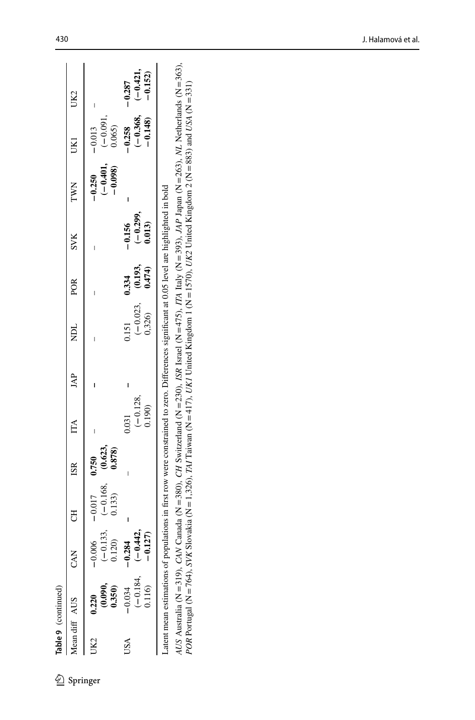|            |                    | 면<br>이                                         | ISR                           | ITA               | JAP | <b>HUN</b>                                                                             | POR | <b>SVK</b>                         | TWN | UK1                                                             | UK2 |
|------------|--------------------|------------------------------------------------|-------------------------------|-------------------|-----|----------------------------------------------------------------------------------------|-----|------------------------------------|-----|-----------------------------------------------------------------|-----|
| 0.220      |                    |                                                | 0.750                         | Ī                 | Ï   | I                                                                                      | I   | I                                  |     |                                                                 | I   |
| (0.090,    | $\overline{0}$     | 06 $-0.017$<br>1.133, $(-0.168,$<br>20) 0.133) |                               |                   |     |                                                                                        |     |                                    |     |                                                                 |     |
| 0.350)     | 0.120              |                                                | $\frac{(0.623,0.878)}{0.878}$ |                   |     |                                                                                        |     |                                    |     | $-0.250$ $-0.013$<br>$(-0.401,$ $(-0.091,$<br>$-0.098)$ 0.065)  |     |
| 0.034      | $-0.284$           |                                                |                               | 0.031             | I   |                                                                                        |     |                                    |     | $-0.258$ $-0.287$<br>$(-0.368, (-0.421,$<br>$-0.148)$ $-0.152)$ |     |
| $(-0.184,$ | $(-0.442, -0.127)$ |                                                |                               | $(-0.128, 0.190)$ |     | $\begin{array}{cc} 0.151 & 0.334 \\ (-0.023, & (0.193, \\ 0.326) & 0.474) \end{array}$ |     | $-0.156$<br>$(-0.299,$<br>$0.013)$ |     |                                                                 |     |
|            |                    |                                                |                               |                   |     |                                                                                        |     |                                    |     |                                                                 |     |

Latent mean estimations of populations in frst row were constrained to zero. Diferences signifcant at 0.05 level are highlighted in bold are mannamen m zero. Differences significant at U.Up level consuance to WCIC Latent mean estimations of populations in first row

AUS Australia (N = 319), CAN Canada (N = 380), CH Switzerland (N = 230), ISR Israel (N = 475), ITA Italy (N = 393), JAP Japan (N = 263), NL Netherlands (N = 363), POR Portugal (N = 764), SVK Slovakia (N = 1,326), TAI Taiw *AUS* Australia (N=319), *CAN* Canada (N=380), *CH* Switzerland (N=230), *ISR* Israel (N=475), *ITA* Italy (N=393), *JAP* Japan (N=263), *NL* Netherlands (N=363), *POR* Portugal (N=764), *SVK* Slovakia (N=1,326), *TAI* Taiwan (N=417), *UK1* United Kingdom 1 (N=1570), *UK2* United Kingdom 2 (N=883) and *USA* (N=331)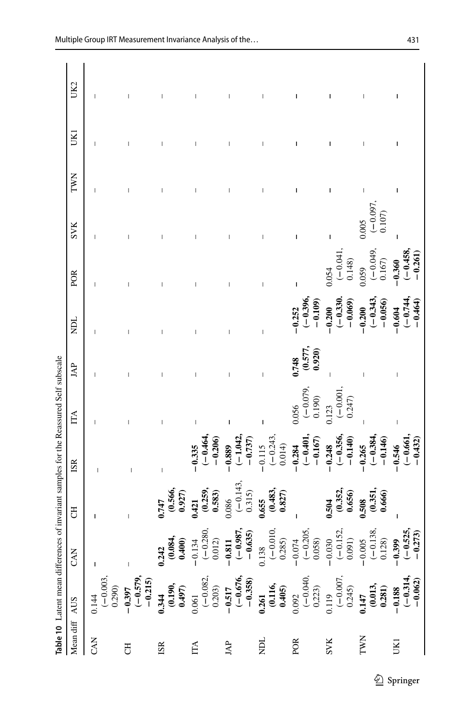<span id="page-20-0"></span>

|                |                                                                                                                                                                                                                                                                                    | <b>Table 10</b> Latent mean differences of invariant samples for the Reassured Self subscale                                                                                                                                                                                              |                                                                              |                                                 |                                   |                                                           |                                     |                                                            |                              |                                                                                                                                                                                                                                                                                                                                                                                  |            |                          |
|----------------|------------------------------------------------------------------------------------------------------------------------------------------------------------------------------------------------------------------------------------------------------------------------------------|-------------------------------------------------------------------------------------------------------------------------------------------------------------------------------------------------------------------------------------------------------------------------------------------|------------------------------------------------------------------------------|-------------------------------------------------|-----------------------------------|-----------------------------------------------------------|-------------------------------------|------------------------------------------------------------|------------------------------|----------------------------------------------------------------------------------------------------------------------------------------------------------------------------------------------------------------------------------------------------------------------------------------------------------------------------------------------------------------------------------|------------|--------------------------|
| Mean diff      | <b>AUS</b>                                                                                                                                                                                                                                                                         | CAN                                                                                                                                                                                                                                                                                       | F                                                                            | <b>ISR</b>                                      | É                                 | ÂŅ                                                        | NDL                                 | POR                                                        | <b>SVK</b>                   | TWN                                                                                                                                                                                                                                                                                                                                                                              | <b>UKI</b> | UK2                      |
| CAN            | $(-0.003, 0.290)$<br>0.144                                                                                                                                                                                                                                                         | $\mathbf{I}$                                                                                                                                                                                                                                                                              | I                                                                            |                                                 |                                   |                                                           |                                     |                                                            |                              |                                                                                                                                                                                                                                                                                                                                                                                  |            |                          |
| FO             | $-0.397$<br>$(-0.579,$<br>$-0.215)$                                                                                                                                                                                                                                                | $\mathbf{I}$                                                                                                                                                                                                                                                                              | $\mathsf I$                                                                  | $\overline{1}$                                  |                                   |                                                           | I                                   |                                                            |                              | T                                                                                                                                                                                                                                                                                                                                                                                |            |                          |
| <b>ISR</b>     |                                                                                                                                                                                                                                                                                    |                                                                                                                                                                                                                                                                                           |                                                                              | $\overline{1}$                                  |                                   |                                                           | $\overline{1}$                      |                                                            |                              | T                                                                                                                                                                                                                                                                                                                                                                                |            |                          |
| ITA            | 0.344<br>(0.190,<br>0.61<br>0.061<br>(-0.082,<br>0.203)<br>$-0.517$<br>$-0.576$ ,<br>$-0.589$<br>0.244<br>0.116,<br>0.116,<br>0.116,<br>(-0.007,<br>(-0.007,<br>(-0.007,<br>0.116,<br>(-0.007,<br>0.116,<br>0.203)<br>0.203<br>0.203<br>0.203<br>0.405)<br>0.203<br>0.116,<br>0.11 | 0.343<br>(0.084,<br>0.0400)<br>0.0400<br>0.0400<br>0.035<br>0.025<br>0.025<br>0.035<br>0.035<br>0.035<br>0.035<br>0.035<br>0.035<br>0.035<br>0.035<br>0.035<br>0.035<br>0.035<br>0.035<br>0.035<br>0.035<br>0.035<br>0.035<br>0.035<br>0.035<br>0.035<br>0.035<br>0.035<br>0.035<br>0.035 | 0.747<br>(0.566,<br>0.927)<br>0.421<br>0.4239,<br>0.583)<br>0.515)<br>0.315) | $(-0.464,$<br>$-0.206)$<br>$-0.889$<br>$-0.335$ |                                   |                                                           |                                     |                                                            |                              |                                                                                                                                                                                                                                                                                                                                                                                  |            |                          |
| $\mathsf{IAP}$ |                                                                                                                                                                                                                                                                                    |                                                                                                                                                                                                                                                                                           |                                                                              | $(-1.042, -0.737)$                              | I                                 |                                                           | Ť                                   |                                                            |                              | $\begin{array}{c} \rule{0pt}{2.5ex} \rule{0pt}{2.5ex} \rule{0pt}{2.5ex} \rule{0pt}{2.5ex} \rule{0pt}{2.5ex} \rule{0pt}{2.5ex} \rule{0pt}{2.5ex} \rule{0pt}{2.5ex} \rule{0pt}{2.5ex} \rule{0pt}{2.5ex} \rule{0pt}{2.5ex} \rule{0pt}{2.5ex} \rule{0pt}{2.5ex} \rule{0pt}{2.5ex} \rule{0pt}{2.5ex} \rule{0pt}{2.5ex} \rule{0pt}{2.5ex} \rule{0pt}{2.5ex} \rule{0pt}{2.5ex} \rule{0$ |            |                          |
| <b>NON</b>     |                                                                                                                                                                                                                                                                                    |                                                                                                                                                                                                                                                                                           | $\begin{array}{c} 0.655 \\ (0.483, \\ 0.827) \end{array}$                    | $(-0.243)$<br>$-0.115$<br>0.014)                | I                                 |                                                           |                                     |                                                            |                              |                                                                                                                                                                                                                                                                                                                                                                                  |            | $\overline{\phantom{a}}$ |
| POR            |                                                                                                                                                                                                                                                                                    |                                                                                                                                                                                                                                                                                           |                                                                              | $-0.284$<br>$(-0.401,$<br>$-0.167)$             | $(-0.079, 0.190)$<br>0.056        | $\begin{array}{c} 0.748 \\ (0.577, \\ 0.920) \end{array}$ | $(-0.396$<br>-0.109)<br>$-0.252$    | I                                                          |                              | I                                                                                                                                                                                                                                                                                                                                                                                |            | I                        |
| <b>SVK</b>     |                                                                                                                                                                                                                                                                                    |                                                                                                                                                                                                                                                                                           |                                                                              | $-0.248$<br>$(-0.356,$<br>$-0.140)$             | $0.123$<br>$(-0.001,$<br>$0.247)$ |                                                           | $-0.200$<br>$(-0.330.$<br>$-0.069)$ | $(-0.041$<br>0.148)<br>1.054                               |                              |                                                                                                                                                                                                                                                                                                                                                                                  |            |                          |
| TWN            |                                                                                                                                                                                                                                                                                    |                                                                                                                                                                                                                                                                                           | $0.504$<br>$(0.352,$<br>$0.656)$<br>$0.508$<br>$(0.351,$<br>$0.666)$         | $-0.265$<br>$(-0.384,$<br>$-0.146)$             |                                   |                                                           | $-0.200$<br>$(-0.343,$<br>$-0.056)$ | $\begin{array}{c} 0.059 \\ (-0.049, \\ 0.167) \end{array}$ | $(-0.097$<br>0.107)<br>0.005 |                                                                                                                                                                                                                                                                                                                                                                                  |            |                          |
| UK1            |                                                                                                                                                                                                                                                                                    |                                                                                                                                                                                                                                                                                           |                                                                              | $(-0.661$<br>$-0.432)$<br>$-0.546$              | I                                 |                                                           | $-0.604$<br>$(-0.744,$<br>$-0.464)$ | $-0.360$<br>$(-0.458,$<br>$-0.261)$                        |                              | ı                                                                                                                                                                                                                                                                                                                                                                                | I          | ı                        |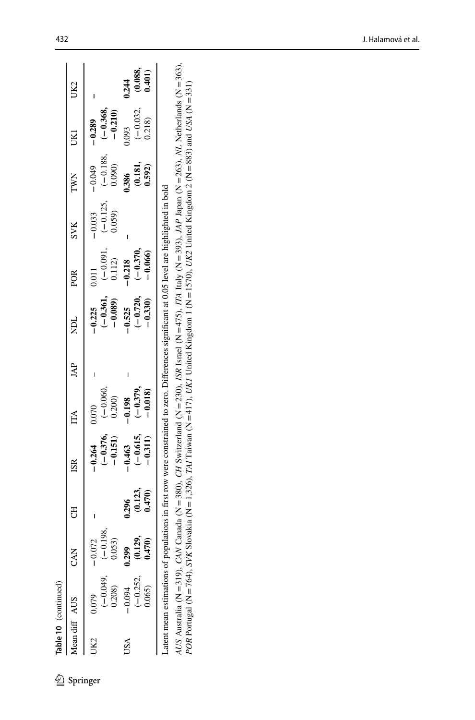| lean diff AUS |            |                                 | E                                                       | <b>ISR</b>                          | ITA                                                          | JAP | NDL                                 | POR.                                | <b>SVK</b>                       | TWN                                                     | UKI                                                        | UK2            |
|---------------|------------|---------------------------------|---------------------------------------------------------|-------------------------------------|--------------------------------------------------------------|-----|-------------------------------------|-------------------------------------|----------------------------------|---------------------------------------------------------|------------------------------------------------------------|----------------|
|               |            |                                 |                                                         |                                     | 0.070                                                        |     |                                     | 10.011                              |                                  |                                                         |                                                            |                |
|               |            | $\frac{1}{2}$                   |                                                         |                                     |                                                              |     |                                     |                                     | $-0.033$<br>$(-0.125,$<br>0.059) |                                                         |                                                            |                |
|               |            | $\widehat{\mathcal{E}}$<br>0.05 |                                                         | $-0.264$<br>$(-0.376,$<br>$-0.151)$ |                                                              |     | $-0.225$<br>$(-0.361,$<br>$-0.089)$ | $(-0.091, 0.112)$                   |                                  | $-0.049$<br>$(-0.188,$<br>0.090)                        | $-0.289$<br>$(-0.368,$<br>$-0.210)$                        |                |
|               | 0.094      | 0.299                           |                                                         |                                     | $(-0.060,$<br>0.200)<br>$-0.198$<br>$(-0.379,$<br>$(-0.379,$ |     |                                     |                                     |                                  |                                                         |                                                            | 0.244          |
|               | $(-0.252,$ |                                 | $\begin{array}{c} 0.296 \\ 0.123, \\ 0.470 \end{array}$ | $-0.463$<br>$(-0.615,$<br>$-0.311)$ |                                                              |     | $-0.525$<br>$(-0.720,$<br>$-0.330)$ | $-0.218$<br>$(-0.370,$<br>$-0.066)$ |                                  | $\begin{array}{c} 0.386 \\ 0.181, \\ 0.592 \end{array}$ | $\begin{array}{c} 0.093 \\ (-0.032, \\ 0.218) \end{array}$ | (0.088, 0.401) |
|               | .065       | 0.47                            |                                                         |                                     |                                                              |     |                                     |                                     |                                  |                                                         |                                                            |                |

b Ľ

AUS Australia (N=319), CAN Canada (N=380), CH Switzerland (N=230), ISR Israel (N=475), ITA Italy (N=393), JAP Japan (N=263), NL Netherlands (N=363), POR Portugal (N=764), SVK Slovakia (N=1,326), TAI Taiwan (N=417), UKI Un *AUS* Australia (N=319), *CAN* Canada (N=380), *CH* Switzerland (N=230), *ISR* Israel (N=475), *ITA* Italy (N=393), *JAP* Japan (N=263), *NL* Netherlands (N=363), *POR* Portugal (N=764), *SVK* Slovakia (N=1,326), *TAI* Taiwan (N=417), *UK1* United Kingdom 1 (N=1570), *UK2* United Kingdom 2 (N=883) and *USA* (N=331)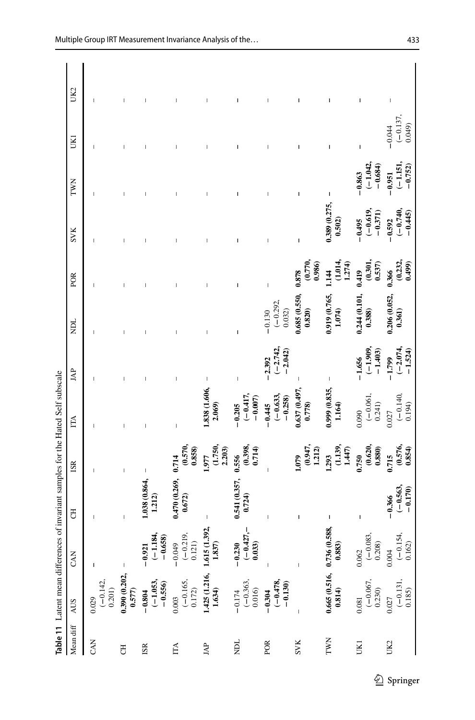<span id="page-22-0"></span>

| :<br>;<br>;                                                        |
|--------------------------------------------------------------------|
| i                                                                  |
| Ì                                                                  |
|                                                                    |
| -----<br>í<br>j                                                    |
| $\ddot{\phantom{0}}$<br>i<br>֧֦֧֦֧֦֧֦֧֦֧֦֧֦֧֦֧֦֧֦֧֦֧֦֧֦֧֦֧֦֧֦<br>ţ |
| Í,<br>;<br>;                                                       |
| í<br>in a car                                                      |
| Ì                                                                  |

|            | Table 11 Latent mean differences of invariant samples for the Hated Self subscale |                                   |                                     |                                |                                    |                                                                |                                  |                            |                                     |                                     |                               |     |
|------------|-----------------------------------------------------------------------------------|-----------------------------------|-------------------------------------|--------------------------------|------------------------------------|----------------------------------------------------------------|----------------------------------|----------------------------|-------------------------------------|-------------------------------------|-------------------------------|-----|
| Mean diff  | <b>AUS</b>                                                                        | CAN                               | $\overline{5}$                      | ISR                            | ГÃ                                 | ÂŅ                                                             | <b>NDL</b>                       | POR                        | <b>SVK</b>                          | TWN                                 | <b>UKI</b>                    | UK2 |
| CAN        | $(-0.142,$<br>0.201)<br>0.029                                                     |                                   |                                     |                                |                                    |                                                                |                                  |                            |                                     |                                     |                               |     |
| F          | 0.390(0.202,<br>0.577                                                             | $\sf I$                           | Ï                                   |                                |                                    |                                                                |                                  | I                          |                                     | I                                   |                               |     |
| <b>ISR</b> | $(-1.053,$<br>$-0.556$<br>$-0.804$                                                | $(-1.184, -0.658)$<br>$-0.921$    | 1.038 (0.864,<br>1.212              |                                |                                    |                                                                |                                  |                            |                                     |                                     |                               |     |
| ГÃ         | $(-0.165, 0.172)$<br>0.003                                                        | $(-0.219, 0.121)$<br>$-0.049$     | 0.470 (0.269, 0.714<br>0.672)       | (0.570, 0.858)                 | $\mathbf{I}$                       |                                                                |                                  |                            |                                     | I                                   |                               |     |
| JAP        | 1.425(1.216, 1.634)                                                               | 1.615(1.392,<br>1.837             |                                     | (1.750, 2.203)<br>1.977        | 1.838 (1.606,<br>2.069             |                                                                |                                  | T                          |                                     | T                                   |                               |     |
| <b>NDL</b> | $(-0.363,$<br>0.016<br>$-0.174$                                                   | $(-0.427,-$<br>0.033)<br>$-0.230$ | $\frac{0.541}{0.724}$               | (0.398,<br>0.714)<br>0.556     | $(-0.417,$<br>$-0.007$<br>$-0.205$ | $\mathbf{I}$                                                   | Ï                                |                            |                                     | $\mathbf{I}$                        |                               |     |
| POR        | $(-0.478, -0.130)$<br>$-0.304$                                                    |                                   |                                     |                                | $(-0.633,$<br>$-0.258$<br>$-0.445$ | $\begin{array}{c} (-2.742, \\ -2.042) \end{array}$<br>$-2.392$ | $(-0.292,$<br>0.032)<br>$-0.130$ |                            |                                     |                                     |                               |     |
| <b>SVK</b> | $\mathsf I$                                                                       | $\mathbf{I}$                      |                                     | (0.947, 1.212)<br>1.079        | 0.637 (0.497,<br>0.778)            |                                                                | 0.685 (0.550,<br>0.820           | (0.770,<br>0.986<br>0.878  | ı                                   |                                     |                               |     |
| TWN        | 0.665 (0.516, 0.736 (0.588)<br>0.814)                                             | 0.883)                            |                                     | (1.139, 1.447)<br>1.293        | 0.999 (0.835,<br>1.164             |                                                                | 0.919 (0.765,<br>1.074)          | (1.014,<br>1.274)<br>1.144 | 0.389 (0.275,<br>0.502              | I                                   |                               |     |
| <b>UKI</b> | $(-0.067,$<br>0.230)<br>0.081                                                     | $(-0.083, 0.208)$<br>0.062        | I                                   | (0.620, 0.880)<br>0.750        | $(-0.061,$<br>0.241)<br>0.090      | $(-1.909,$<br>$-1.403)$<br>$-1.656$                            | 0.244 (0.101,<br>0.388)          | (0.301, 0.537)<br>0.419    | $(-0.619,$<br>$-0.371$<br>$-0.495$  | $(-1.042, -0.684)$<br>$-0.863$      | I                             |     |
| UK2        | $(-0.131, 0.185)$<br>0.027                                                        | $(-0.154, 0.162)$<br>0.004        | $-0.366$<br>$(-0.563,$<br>$-0.170)$ | $\frac{0.715}{(0.576, 0.854)}$ | $(-0.140, 0.194)$<br>0.027         | $(-2.074,$<br>-1.524)<br>$-1.799$                              | $\frac{0.206}{0.361}$            | (0.232, 0.499)<br>0.366    | $-0.592$<br>$(-0.740,$<br>$-0.445)$ | $(-1.151,$<br>$-0.752)$<br>$-0.951$ | $(-0.137, 0.049)$<br>$-0.044$ |     |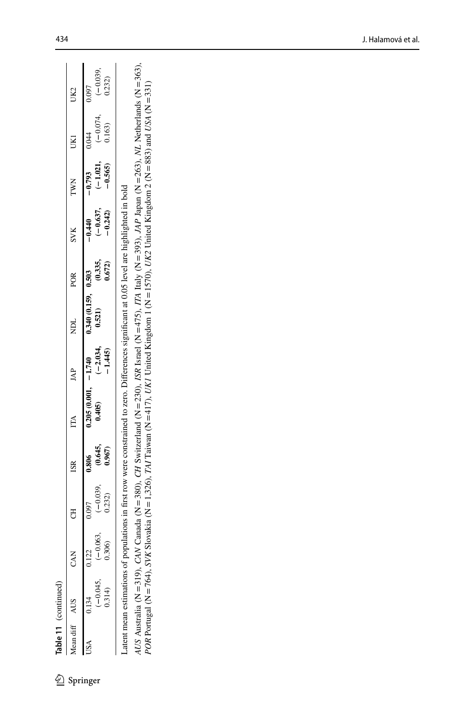| ۳ |  |
|---|--|
|   |  |

|  |             | Ŧ                                 | <b>ISR</b>                       | ľА                  | AP<br>3                             | <b>NDL</b>            | POR                                                    | <b>SVK</b>                          | TWN                                 | UKI                               | UK2                                                        |
|--|-------------|-----------------------------------|----------------------------------|---------------------|-------------------------------------|-----------------------|--------------------------------------------------------|-------------------------------------|-------------------------------------|-----------------------------------|------------------------------------------------------------|
|  | 0.122       |                                   |                                  |                     |                                     |                       |                                                        |                                     |                                     |                                   |                                                            |
|  |             | $0.097$<br>$(-0.039,$<br>$0.232)$ | $0.806$<br>$(0.645,$<br>$0.967)$ | 0.205(0.001, 0.405) | $-1.740$<br>$(-2.034,$<br>$-1.445)$ | $\frac{0.340}{0.521}$ | $\begin{array}{c} 0.503 \ 0.335, \ 0.672) \end{array}$ | $-0.440$<br>$(-0.637,$<br>$-0.242)$ | $-0.793$<br>$(-1.021,$<br>$-0.565)$ | $0.044$<br>$(-0.074,$<br>$0.163)$ | $\begin{array}{c} 0.097 \\ (-0.039, \\ 0.232) \end{array}$ |
|  | .063,<br>16 |                                   |                                  |                     |                                     |                       |                                                        |                                     |                                     |                                   |                                                            |

Latent mean estimations of populations in first row were constrained to zero. Differences significant at 0.05 level are highlighted in bold Latent mean estimations of populations in frst row were constrained to zero. Diferences signifcant at 0.05 level are highlighted in bold

AUS Australia (N = 319), CAN Canada (N = 380), CH Switzerland (N = 230), ISR Israel (N = 475), ITA Italy (N = 393), JAP Japan (N = 263), NL Netherlands (N = 363), POR Portugal (N = 764), SVK Slovakia (N = 1326), TAI Taiwa *AUS* Australia (N=319), *CAN* Canada (N=380), *CH* Switzerland (N=230), *ISR* Israel (N=475), *ITA* Italy (N=393), *JAP* Japan (N=263), *NL* Netherlands (N=363), *POR* Portugal (N=764), *SVK* Slovakia (N=1,326), *TAI* Taiwan (N=417), *UK1* United Kingdom 1 (N=1570), *UK2* United Kingdom 2 (N=883) and *USA* (N=331)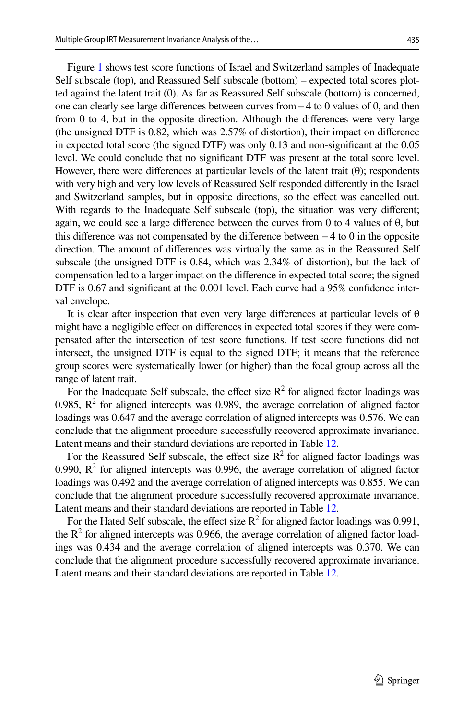Figure [1](#page-25-0) shows test score functions of Israel and Switzerland samples of Inadequate Self subscale (top), and Reassured Self subscale (bottom) – expected total scores plotted against the latent trait  $(\theta)$ . As far as Reassured Self subscale (bottom) is concerned, one can clearly see large diferences between curves from−4 to 0 values of θ, and then from 0 to 4, but in the opposite direction. Although the diferences were very large (the unsigned DTF is 0.82, which was 2.57% of distortion), their impact on diference in expected total score (the signed DTF) was only 0.13 and non-signifcant at the 0.05 level. We could conclude that no signifcant DTF was present at the total score level. However, there were differences at particular levels of the latent trait  $(\theta)$ ; respondents with very high and very low levels of Reassured Self responded diferently in the Israel and Switzerland samples, but in opposite directions, so the efect was cancelled out. With regards to the Inadequate Self subscale (top), the situation was very diferent; again, we could see a large diference between the curves from 0 to 4 values of θ, but this difference was not compensated by the difference between  $-4$  to 0 in the opposite direction. The amount of diferences was virtually the same as in the Reassured Self subscale (the unsigned DTF is 0.84, which was 2.34% of distortion), but the lack of compensation led to a larger impact on the diference in expected total score; the signed DTF is 0.67 and signifcant at the 0.001 level. Each curve had a 95% confdence interval envelope.

It is clear after inspection that even very large differences at particular levels of  $\theta$ might have a negligible efect on diferences in expected total scores if they were compensated after the intersection of test score functions. If test score functions did not intersect, the unsigned DTF is equal to the signed DTF; it means that the reference group scores were systematically lower (or higher) than the focal group across all the range of latent trait.

For the Inadequate Self subscale, the effect size  $R^2$  for aligned factor loadings was 0.985,  $\mathbb{R}^2$  for aligned intercepts was 0.989, the average correlation of aligned factor loadings was 0.647 and the average correlation of aligned intercepts was 0.576. We can conclude that the alignment procedure successfully recovered approximate invariance. Latent means and their standard deviations are reported in Table [12](#page-26-0).

For the Reassured Self subscale, the effect size  $R^2$  for aligned factor loadings was 0.990,  $\mathbb{R}^2$  for aligned intercepts was 0.996, the average correlation of aligned factor loadings was 0.492 and the average correlation of aligned intercepts was 0.855. We can conclude that the alignment procedure successfully recovered approximate invariance. Latent means and their standard deviations are reported in Table [12](#page-26-0).

For the Hated Self subscale, the effect size  $R^2$  for aligned factor loadings was 0.991, the  $\mathbb{R}^2$  for aligned intercepts was 0.966, the average correlation of aligned factor loadings was 0.434 and the average correlation of aligned intercepts was 0.370. We can conclude that the alignment procedure successfully recovered approximate invariance. Latent means and their standard deviations are reported in Table [12](#page-26-0).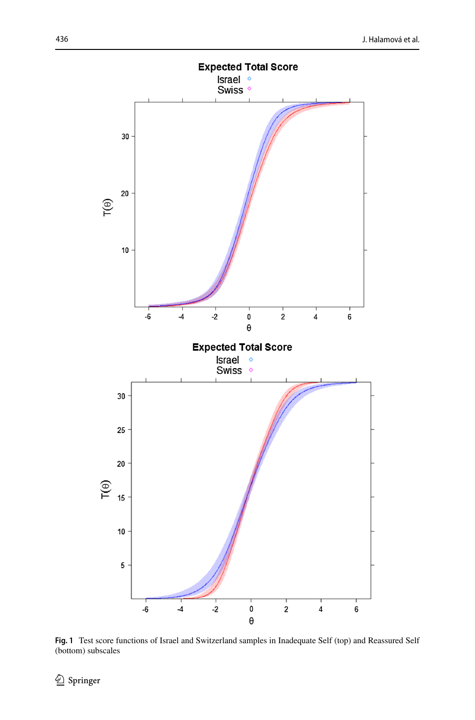

<span id="page-25-0"></span>**Fig. 1** Test score functions of Israel and Switzerland samples in Inadequate Self (top) and Reassured Self (bottom) subscales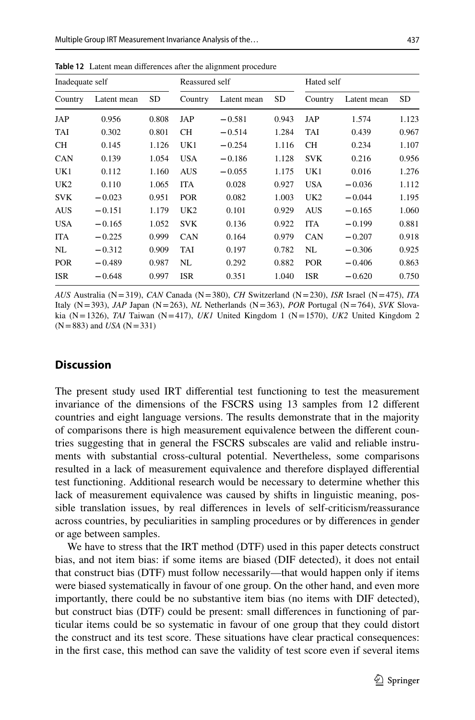| Inadequate self |             |       | Reassured self  |             |       | Hated self      |             |       |
|-----------------|-------------|-------|-----------------|-------------|-------|-----------------|-------------|-------|
| Country         | Latent mean | SD    | Country         | Latent mean | SD    | Country         | Latent mean | SD    |
| JAP             | 0.956       | 0.808 | JAP             | $-0.581$    | 0.943 | JAP             | 1.574       | 1.123 |
| <b>TAI</b>      | 0.302       | 0.801 | CН              | $-0.514$    | 1.284 | TAI             | 0.439       | 0.967 |
| CН              | 0.145       | 1.126 | UK1             | $-0.254$    | 1.116 | <b>CH</b>       | 0.234       | 1.107 |
| <b>CAN</b>      | 0.139       | 1.054 | <b>USA</b>      | $-0.186$    | 1.128 | <b>SVK</b>      | 0.216       | 0.956 |
| UK1             | 0.112       | 1.160 | <b>AUS</b>      | $-0.055$    | 1.175 | UK1             | 0.016       | 1.276 |
| UK2             | 0.110       | 1.065 | <b>ITA</b>      | 0.028       | 0.927 | <b>USA</b>      | $-0.036$    | 1.112 |
| <b>SVK</b>      | $-0.023$    | 0.951 | <b>POR</b>      | 0.082       | 1.003 | UK <sub>2</sub> | $-0.044$    | 1.195 |
| <b>AUS</b>      | $-0.151$    | 1.179 | UK <sub>2</sub> | 0.101       | 0.929 | <b>AUS</b>      | $-0.165$    | 1.060 |
| <b>USA</b>      | $-0.165$    | 1.052 | <b>SVK</b>      | 0.136       | 0.922 | <b>ITA</b>      | $-0.199$    | 0.881 |
| <b>ITA</b>      | $-0.225$    | 0.999 | <b>CAN</b>      | 0.164       | 0.979 | <b>CAN</b>      | $-0.207$    | 0.918 |
| NL              | $-0.312$    | 0.909 | TAI             | 0.197       | 0.782 | NL              | $-0.306$    | 0.925 |
| <b>POR</b>      | $-0.489$    | 0.987 | NL              | 0.292       | 0.882 | <b>POR</b>      | $-0.406$    | 0.863 |
| <b>ISR</b>      | $-0.648$    | 0.997 | <b>ISR</b>      | 0.351       | 1.040 | <b>ISR</b>      | $-0.620$    | 0.750 |

<span id="page-26-0"></span>**Table 12** Latent mean diferences after the alignment procedure

*AUS* Australia (N=319), *CAN* Canada (N=380), *CH* Switzerland (N=230), *ISR* Israel (N=475), *ITA* Italy (N=393), *JAP* Japan (N=263), *NL* Netherlands (N=363), *POR* Portugal (N=764), *SVK* Slovakia (N=1326), *TAI* Taiwan (N=417), *UK1* United Kingdom 1 (N=1570), *UK2* United Kingdom 2 (N=883) and *USA* (N=331)

# **Discussion**

The present study used IRT diferential test functioning to test the measurement invariance of the dimensions of the FSCRS using 13 samples from 12 diferent countries and eight language versions. The results demonstrate that in the majority of comparisons there is high measurement equivalence between the diferent countries suggesting that in general the FSCRS subscales are valid and reliable instruments with substantial cross-cultural potential. Nevertheless, some comparisons resulted in a lack of measurement equivalence and therefore displayed diferential test functioning. Additional research would be necessary to determine whether this lack of measurement equivalence was caused by shifts in linguistic meaning, possible translation issues, by real diferences in levels of self-criticism/reassurance across countries, by peculiarities in sampling procedures or by diferences in gender or age between samples.

We have to stress that the IRT method (DTF) used in this paper detects construct bias, and not item bias: if some items are biased (DIF detected), it does not entail that construct bias (DTF) must follow necessarily—that would happen only if items were biased systematically in favour of one group. On the other hand, and even more importantly, there could be no substantive item bias (no items with DIF detected), but construct bias (DTF) could be present: small diferences in functioning of particular items could be so systematic in favour of one group that they could distort the construct and its test score. These situations have clear practical consequences: in the frst case, this method can save the validity of test score even if several items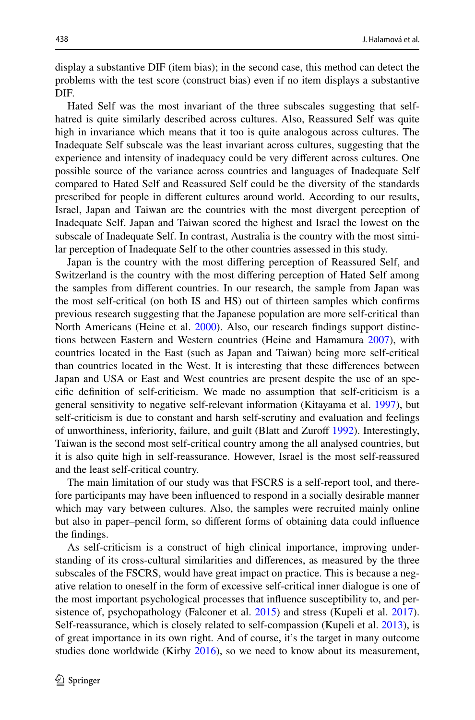display a substantive DIF (item bias); in the second case, this method can detect the problems with the test score (construct bias) even if no item displays a substantive DIF.

Hated Self was the most invariant of the three subscales suggesting that selfhatred is quite similarly described across cultures. Also, Reassured Self was quite high in invariance which means that it too is quite analogous across cultures. The Inadequate Self subscale was the least invariant across cultures, suggesting that the experience and intensity of inadequacy could be very diferent across cultures. One possible source of the variance across countries and languages of Inadequate Self compared to Hated Self and Reassured Self could be the diversity of the standards prescribed for people in diferent cultures around world. According to our results, Israel, Japan and Taiwan are the countries with the most divergent perception of Inadequate Self. Japan and Taiwan scored the highest and Israel the lowest on the subscale of Inadequate Self. In contrast, Australia is the country with the most similar perception of Inadequate Self to the other countries assessed in this study.

Japan is the country with the most difering perception of Reassured Self, and Switzerland is the country with the most difering perception of Hated Self among the samples from diferent countries. In our research, the sample from Japan was the most self-critical (on both IS and HS) out of thirteen samples which confrms previous research suggesting that the Japanese population are more self-critical than North Americans (Heine et al. [2000](#page-30-3)). Also, our research fndings support distinctions between Eastern and Western countries (Heine and Hamamura [2007\)](#page-30-2), with countries located in the East (such as Japan and Taiwan) being more self-critical than countries located in the West. It is interesting that these diferences between Japan and USA or East and West countries are present despite the use of an specifc defnition of self-criticism. We made no assumption that self-criticism is a general sensitivity to negative self-relevant information (Kitayama et al. [1997\)](#page-31-5), but self-criticism is due to constant and harsh self-scrutiny and evaluation and feelings of unworthiness, inferiority, failure, and guilt (Blatt and Zuroff [1992](#page-29-5)). Interestingly, Taiwan is the second most self-critical country among the all analysed countries, but it is also quite high in self-reassurance. However, Israel is the most self-reassured and the least self-critical country.

The main limitation of our study was that FSCRS is a self-report tool, and therefore participants may have been infuenced to respond in a socially desirable manner which may vary between cultures. Also, the samples were recruited mainly online but also in paper–pencil form, so diferent forms of obtaining data could infuence the fndings.

As self-criticism is a construct of high clinical importance, improving understanding of its cross-cultural similarities and diferences, as measured by the three subscales of the FSCRS, would have great impact on practice. This is because a negative relation to oneself in the form of excessive self-critical inner dialogue is one of the most important psychological processes that infuence susceptibility to, and persistence of, psychopathology (Falconer et al. [2015\)](#page-30-0) and stress (Kupeli et al. [2017\)](#page-31-16). Self-reassurance, which is closely related to self-compassion (Kupeli et al. [2013](#page-31-8)), is of great importance in its own right. And of course, it's the target in many outcome studies done worldwide (Kirby [2016](#page-31-17)), so we need to know about its measurement,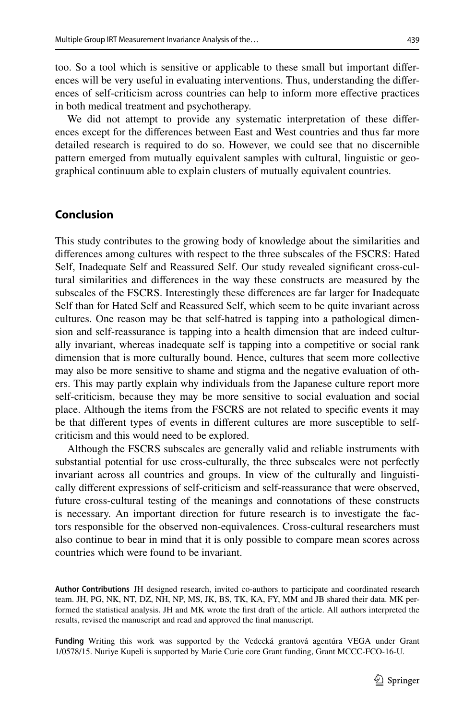too. So a tool which is sensitive or applicable to these small but important diferences will be very useful in evaluating interventions. Thus, understanding the diferences of self-criticism across countries can help to inform more efective practices in both medical treatment and psychotherapy.

We did not attempt to provide any systematic interpretation of these diferences except for the diferences between East and West countries and thus far more detailed research is required to do so. However, we could see that no discernible pattern emerged from mutually equivalent samples with cultural, linguistic or geographical continuum able to explain clusters of mutually equivalent countries.

# **Conclusion**

This study contributes to the growing body of knowledge about the similarities and diferences among cultures with respect to the three subscales of the FSCRS: Hated Self, Inadequate Self and Reassured Self. Our study revealed signifcant cross-cultural similarities and diferences in the way these constructs are measured by the subscales of the FSCRS. Interestingly these diferences are far larger for Inadequate Self than for Hated Self and Reassured Self, which seem to be quite invariant across cultures. One reason may be that self-hatred is tapping into a pathological dimension and self-reassurance is tapping into a health dimension that are indeed culturally invariant, whereas inadequate self is tapping into a competitive or social rank dimension that is more culturally bound. Hence, cultures that seem more collective may also be more sensitive to shame and stigma and the negative evaluation of others. This may partly explain why individuals from the Japanese culture report more self-criticism, because they may be more sensitive to social evaluation and social place. Although the items from the FSCRS are not related to specifc events it may be that diferent types of events in diferent cultures are more susceptible to selfcriticism and this would need to be explored.

Although the FSCRS subscales are generally valid and reliable instruments with substantial potential for use cross-culturally, the three subscales were not perfectly invariant across all countries and groups. In view of the culturally and linguistically diferent expressions of self-criticism and self-reassurance that were observed, future cross-cultural testing of the meanings and connotations of these constructs is necessary. An important direction for future research is to investigate the factors responsible for the observed non-equivalences. Cross-cultural researchers must also continue to bear in mind that it is only possible to compare mean scores across countries which were found to be invariant.

**Author Contributions** JH designed research, invited co-authors to participate and coordinated research team. JH, PG, NK, NT, DZ, NH, NP, MS, JK, BS, TK, KA, FY, MM and JB shared their data. MK performed the statistical analysis. JH and MK wrote the frst draft of the article. All authors interpreted the results, revised the manuscript and read and approved the fnal manuscript.

**Funding** Writing this work was supported by the Vedecká grantová agentúra VEGA under Grant 1/0578/15. Nuriye Kupeli is supported by Marie Curie core Grant funding, Grant MCCC-FCO-16-U.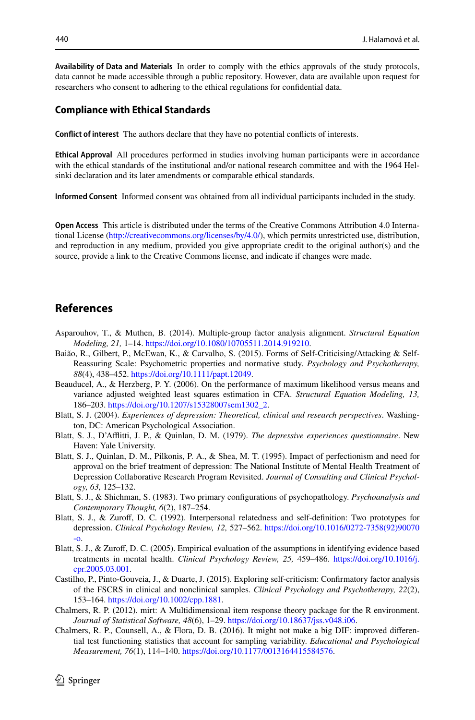**Availability of Data and Materials** In order to comply with the ethics approvals of the study protocols, data cannot be made accessible through a public repository. However, data are available upon request for researchers who consent to adhering to the ethical regulations for confdential data.

#### **Compliance with Ethical Standards**

**Confict of interest** The authors declare that they have no potential conficts of interests.

**Ethical Approval** All procedures performed in studies involving human participants were in accordance with the ethical standards of the institutional and/or national research committee and with the 1964 Helsinki declaration and its later amendments or comparable ethical standards.

**Informed Consent** Informed consent was obtained from all individual participants included in the study.

**Open Access** This article is distributed under the terms of the Creative Commons Attribution 4.0 International License ([http://creativecommons.org/licenses/by/4.0/\)](http://creativecommons.org/licenses/by/4.0/), which permits unrestricted use, distribution, and reproduction in any medium, provided you give appropriate credit to the original author(s) and the source, provide a link to the Creative Commons license, and indicate if changes were made.

# **References**

- <span id="page-29-9"></span>Asparouhov, T., & Muthen, B. (2014). Multiple-group factor analysis alignment. *Structural Equation Modeling, 21,* 1–14. <https://doi.org/10.1080/10705511.2014.919210>.
- <span id="page-29-7"></span>Baião, R., Gilbert, P., McEwan, K., & Carvalho, S. (2015). Forms of Self-Criticising/Attacking & Self-Reassuring Scale: Psychometric properties and normative study. *Psychology and Psychotherapy, 88*(4), 438–452. [https://doi.org/10.1111/papt.12049.](https://doi.org/10.1111/papt.12049)
- <span id="page-29-8"></span>Beauducel, A., & Herzberg, P. Y. (2006). On the performance of maximum likelihood versus means and variance adjusted weighted least squares estimation in CFA. *Structural Equation Modeling, 13,* 186–203. [https://doi.org/10.1207/s15328007sem1302\\_2](https://doi.org/10.1207/s15328007sem1302_2).
- <span id="page-29-1"></span>Blatt, S. J. (2004). *Experiences of depression: Theoretical, clinical and research perspectives*. Washington, DC: American Psychological Association.
- <span id="page-29-2"></span>Blatt, S. J., D'Afitti, J. P., & Quinlan, D. M. (1979). *The depressive experiences questionnaire*. New Haven: Yale University.
- <span id="page-29-3"></span>Blatt, S. J., Quinlan, D. M., Pilkonis, P. A., & Shea, M. T. (1995). Impact of perfectionism and need for approval on the brief treatment of depression: The National Institute of Mental Health Treatment of Depression Collaborative Research Program Revisited. *Journal of Consulting and Clinical Psychology, 63,* 125–132.
- <span id="page-29-0"></span>Blatt, S. J., & Shichman, S. (1983). Two primary confgurations of psychopathology. *Psychoanalysis and Contemporary Thought, 6*(2), 187–254.
- <span id="page-29-5"></span>Blatt, S. J., & Zuroff, D. C. (1992). Interpersonal relatedness and self-definition: Two prototypes for depression. *Clinical Psychology Review, 12,* 527–562. [https://doi.org/10.1016/0272-7358\(92\)90070](https://doi.org/10.1016/0272-7358(92)90070-o) [-o.](https://doi.org/10.1016/0272-7358(92)90070-o)
- <span id="page-29-4"></span>Blatt, S. J., & Zurof, D. C. (2005). Empirical evaluation of the assumptions in identifying evidence based treatments in mental health. *Clinical Psychology Review, 25,* 459–486. [https://doi.org/10.1016/j.](https://doi.org/10.1016/j.cpr.2005.03.001) [cpr.2005.03.001.](https://doi.org/10.1016/j.cpr.2005.03.001)
- <span id="page-29-6"></span>Castilho, P., Pinto-Gouveia, J., & Duarte, J. (2015). Exploring self-criticism: Confrmatory factor analysis of the FSCRS in clinical and nonclinical samples. *Clinical Psychology and Psychotherapy, 22*(2), 153–164.<https://doi.org/10.1002/cpp.1881>.
- <span id="page-29-11"></span>Chalmers, R. P. (2012). mirt: A Multidimensional item response theory package for the R environment. *Journal of Statistical Software, 48*(6), 1–29. [https://doi.org/10.18637/jss.v048.i06.](https://doi.org/10.18637/jss.v048.i06)
- <span id="page-29-10"></span>Chalmers, R. P., Counsell, A., & Flora, D. B. (2016). It might not make a big DIF: improved diferential test functioning statistics that account for sampling variability. *Educational and Psychological Measurement, 76*(1), 114–140. <https://doi.org/10.1177/0013164415584576>.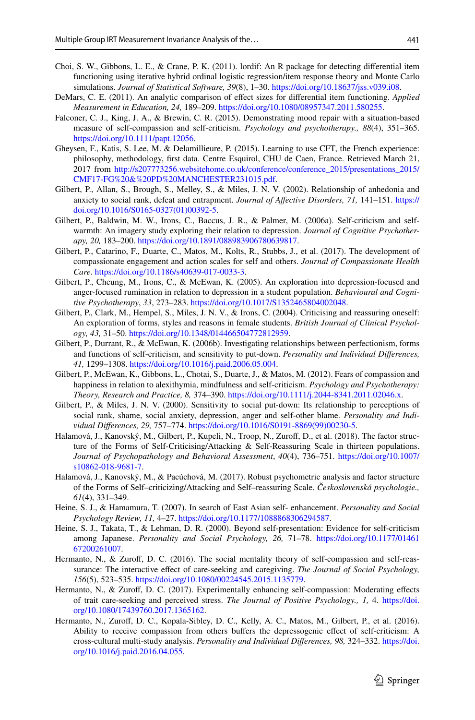- <span id="page-30-18"></span>Choi, S. W., Gibbons, L. E., & Crane, P. K. (2011). lordif: An R package for detecting diferential item functioning using iterative hybrid ordinal logistic regression/item response theory and Monte Carlo simulations. *Journal of Statistical Software, 39*(8), 1–30. [https://doi.org/10.18637/jss.v039.i08.](https://doi.org/10.18637/jss.v039.i08)
- <span id="page-30-17"></span>DeMars, C. E. (2011). An analytic comparison of efect sizes for diferential item functioning. *Applied Measurement in Education, 24,* 189–209. [https://doi.org/10.1080/08957347.2011.580255.](https://doi.org/10.1080/08957347.2011.580255)
- <span id="page-30-0"></span>Falconer, C. J., King, J. A., & Brewin, C. R. (2015). Demonstrating mood repair with a situation-based measure of self-compassion and self-criticism. *Psychology and psychotherapy., 88*(4), 351–365. <https://doi.org/10.1111/papt.12056>.
- <span id="page-30-6"></span>Gheysen, F., Katis, S. Lee, M. & Delamillieure, P. (2015). Learning to use CFT, the French experience: philosophy, methodology, frst data. Centre Esquirol, CHU de Caen, France. Retrieved March 21, 2017 from [http://s207773256.websitehome.co.uk/conference/conference\\_2015/presentations\\_2015/](http://s207773256.websitehome.co.uk/conference/conference_2015/presentations_2015/CMF17-FG%20%26%20PD%20MANCHESTER231015.pdf) [CMF17-FG%20&%20PD%20MANCHESTER231015.pdf.](http://s207773256.websitehome.co.uk/conference/conference_2015/presentations_2015/CMF17-FG%20%26%20PD%20MANCHESTER231015.pdf)
- <span id="page-30-12"></span>Gilbert, P., Allan, S., Brough, S., Melley, S., & Miles, J. N. V. (2002). Relationship of anhedonia and anxiety to social rank, defeat and entrapment. *Journal of Afective Disorders, 71,* 141–151. [https://](https://doi.org/10.1016/S0165-0327(01)00392-5) [doi.org/10.1016/S0165-0327\(01\)00392-5](https://doi.org/10.1016/S0165-0327(01)00392-5).
- <span id="page-30-8"></span>Gilbert, P., Baldwin, M. W., Irons, C., Baccus, J. R., & Palmer, M. (2006a). Self-criticism and selfwarmth: An imagery study exploring their relation to depression. *Journal of Cognitive Psychotherapy, 20,* 183–200. [https://doi.org/10.1891/088983906780639817.](https://doi.org/10.1891/088983906780639817)
- <span id="page-30-9"></span>Gilbert, P., Catarino, F., Duarte, C., Matos, M., Kolts, R., Stubbs, J., et al. (2017). The development of compassionate engagement and action scales for self and others. *Journal of Compassionate Health Care*. <https://doi.org/10.1186/s40639-017-0033-3>.
- <span id="page-30-13"></span>Gilbert, P., Cheung, M., Irons, C., & McEwan, K. (2005). An exploration into depression-focused and anger-focused rumination in relation to depression in a student population. *Behavioural and Cognitive Psychotherapy*, *33*, 273–283.<https://doi.org/10.1017/S1352465804002048>.
- <span id="page-30-4"></span>Gilbert, P., Clark, M., Hempel, S., Miles, J. N. V., & Irons, C. (2004). Criticising and reassuring oneself: An exploration of forms, styles and reasons in female students. *British Journal of Clinical Psychology, 43,* 31–50. [https://doi.org/10.1348/014466504772812959.](https://doi.org/10.1348/014466504772812959)
- <span id="page-30-14"></span>Gilbert, P., Durrant, R., & McEwan, K. (2006b). Investigating relationships between perfectionism, forms and functions of self-criticism, and sensitivity to put-down. *Personality and Individual Diferences, 41,* 1299–1308.<https://doi.org/10.1016/j.paid.2006.05.004>.
- <span id="page-30-15"></span>Gilbert, P., McEwan, K., Gibbons, L., Chotai, S., Duarte, J., & Matos, M. (2012). Fears of compassion and happiness in relation to alexithymia, mindfulness and self-criticism. *Psychology and Psychotherapy: Theory, Research and Practice, 8,* 374–390. <https://doi.org/10.1111/j.2044-8341.2011.02046.x>.
- <span id="page-30-16"></span>Gilbert, P., & Miles, J. N. V. (2000). Sensitivity to social put-down: Its relationship to perceptions of social rank, shame, social anxiety, depression, anger and self-other blame. *Personality and Individual Diferences, 29,* 757–774. [https://doi.org/10.1016/S0191-8869\(99\)00230-5.](https://doi.org/10.1016/S0191-8869(99)00230-5)
- <span id="page-30-5"></span>Halamová, J., Kanovský, M., Gilbert, P., Kupeli, N., Troop, N., Zurof, D., et al. (2018). The factor structure of the Forms of Self-Criticising/Attacking & Self-Reassuring Scale in thirteen populations. *Journal of Psychopathology and Behavioral Assessment*, *40*(4), 736–751. [https://doi.org/10.1007/](https://doi.org/10.1007/s10862-018-9681-7) [s10862-018-9681-7](https://doi.org/10.1007/s10862-018-9681-7).
- <span id="page-30-7"></span>Halamová, J., Kanovský, M., & Pacúchová, M. (2017). Robust psychometric analysis and factor structure of the Forms of Self–criticizing/Attacking and Self–reassuring Scale. *Československá psychologie., 61*(4), 331–349.
- <span id="page-30-2"></span>Heine, S. J., & Hamamura, T. (2007). In search of East Asian self- enhancement. *Personality and Social Psychology Review, 11,* 4–27. [https://doi.org/10.1177/1088868306294587.](https://doi.org/10.1177/1088868306294587)
- <span id="page-30-3"></span>Heine, S. J., Takata, T., & Lehman, D. R. (2000). Beyond self-presentation: Evidence for self-criticism among Japanese. *Personality and Social Psychology, 26,* 71–78. [https://doi.org/10.1177/01461](https://doi.org/10.1177/0146167200261007) [67200261007](https://doi.org/10.1177/0146167200261007).
- <span id="page-30-10"></span>Hermanto, N., & Zuroff, D. C.  $(2016)$ . The social mentality theory of self-compassion and self-reassurance: The interactive efect of care-seeking and caregiving. *The Journal of Social Psychology, 156*(5), 523–535. [https://doi.org/10.1080/00224545.2015.1135779.](https://doi.org/10.1080/00224545.2015.1135779)
- <span id="page-30-11"></span>Hermanto, N., & Zuroff, D. C. (2017). Experimentally enhancing self-compassion: Moderating effects of trait care-seeking and perceived stress. *The Journal of Positive Psychology., 1,* 4. [https://doi.](https://doi.org/10.1080/17439760.2017.1365162) [org/10.1080/17439760.2017.1365162](https://doi.org/10.1080/17439760.2017.1365162).
- <span id="page-30-1"></span>Hermanto, N., Zuroff, D. C., Kopala-Sibley, D. C., Kelly, A. C., Matos, M., Gilbert, P., et al. (2016). Ability to receive compassion from others bufers the depressogenic efect of self-criticism: A cross-cultural multi-study analysis. *Personality and Individual Diferences, 98,* 324–332. [https://doi.](https://doi.org/10.1016/j.paid.2016.04.055) [org/10.1016/j.paid.2016.04.055](https://doi.org/10.1016/j.paid.2016.04.055).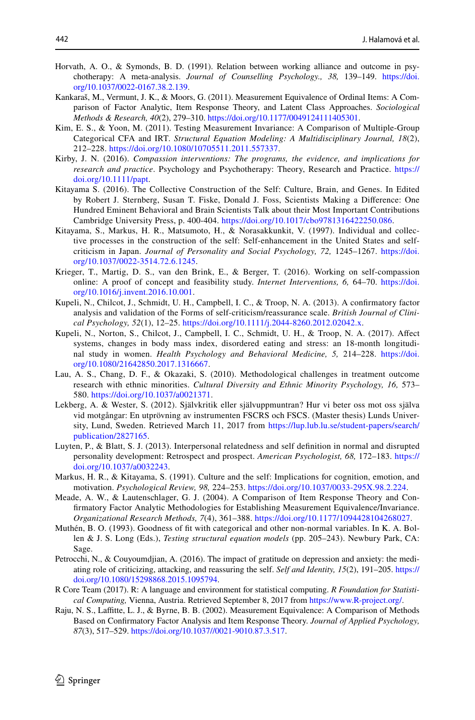- <span id="page-31-0"></span>Horvath, A. O., & Symonds, B. D. (1991). Relation between working alliance and outcome in psychotherapy: A meta-analysis. *Journal of Counselling Psychology., 38,* 139–149. [https://doi.](https://doi.org/10.1037/0022-0167.38.2.139) [org/10.1037/0022-0167.38.2.139.](https://doi.org/10.1037/0022-0167.38.2.139)
- <span id="page-31-10"></span>Kankaraš, M., Vermunt, J. K., & Moors, G. (2011). Measurement Equivalence of Ordinal Items: A Comparison of Factor Analytic, Item Response Theory, and Latent Class Approaches. *Sociological Methods & Research, 40*(2), 279–310. [https://doi.org/10.1177/0049124111405301.](https://doi.org/10.1177/0049124111405301)
- <span id="page-31-11"></span>Kim, E. S., & Yoon, M. (2011). Testing Measurement Invariance: A Comparison of Multiple-Group Categorical CFA and IRT. *Structural Equation Modeling: A Multidisciplinary Journal, 18*(2), 212–228. <https://doi.org/10.1080/10705511.2011.557337>.
- <span id="page-31-17"></span>Kirby, J. N. (2016). *Compassion interventions: The programs, the evidence, and implications for research and practice*. Psychology and Psychotherapy: Theory, Research and Practice. [https://](https://doi.org/10.1111/papt) [doi.org/10.1111/papt](https://doi.org/10.1111/papt).
- <span id="page-31-3"></span>Kitayama S. (2016). The Collective Construction of the Self: Culture, Brain, and Genes. In Edited by Robert J. Sternberg, Susan T. Fiske, Donald J. Foss, Scientists Making a Diference: One Hundred Eminent Behavioral and Brain Scientists Talk about their Most Important Contributions Cambridge University Press, p. 400-404. [https://doi.org/10.1017/cbo9781316422250.086.](https://doi.org/10.1017/cbo9781316422250.086)
- <span id="page-31-5"></span>Kitayama, S., Markus, H. R., Matsumoto, H., & Norasakkunkit, V. (1997). Individual and collective processes in the construction of the self: Self-enhancement in the United States and selfcriticism in Japan. *Journal of Personality and Social Psychology, 72,* 1245–1267. [https://doi.](https://doi.org/10.1037/0022-3514.72.6.1245) [org/10.1037/0022-3514.72.6.1245](https://doi.org/10.1037/0022-3514.72.6.1245).
- <span id="page-31-9"></span>Krieger, T., Martig, D. S., van den Brink, E., & Berger, T. (2016). Working on self-compassion online: A proof of concept and feasibility study. *Internet Interventions, 6,* 64–70. [https://doi.](https://doi.org/10.1016/j.invent.2016.10.001) [org/10.1016/j.invent.2016.10.001](https://doi.org/10.1016/j.invent.2016.10.001).
- <span id="page-31-8"></span>Kupeli, N., Chilcot, J., Schmidt, U. H., Campbell, I. C., & Troop, N. A. (2013). A confrmatory factor analysis and validation of the Forms of self-criticism/reassurance scale. *British Journal of Clinical Psychology, 52*(1), 12–25. [https://doi.org/10.1111/j.2044-8260.2012.02042.x.](https://doi.org/10.1111/j.2044-8260.2012.02042.x)
- <span id="page-31-16"></span>Kupeli, N., Norton, S., Chilcot, J., Campbell, I. C., Schmidt, U. H., & Troop, N. A. (2017). Afect systems, changes in body mass index, disordered eating and stress: an 18-month longitudinal study in women. *Health Psychology and Behavioral Medicine, 5,* 214–228. [https://doi.](https://doi.org/10.1080/21642850.2017.1316667) [org/10.1080/21642850.2017.1316667.](https://doi.org/10.1080/21642850.2017.1316667)
- <span id="page-31-1"></span>Lau, A. S., Chang, D. F., & Okazaki, S. (2010). Methodological challenges in treatment outcome research with ethnic minorities. *Cultural Diversity and Ethnic Minority Psychology, 16,* 573– 580. <https://doi.org/10.1037/a0021371>.
- <span id="page-31-7"></span>Lekberg, A. & Wester, S. (2012). Självkritik eller självuppmuntran? Hur vi beter oss mot oss själva vid motgångar: En utprövning av instrumenten FSCRS och FSCS. (Master thesis) Lunds University, Lund, Sweden. Retrieved March 11, 2017 from [https://lup.lub.lu.se/student-papers/search/](https://lup.lub.lu.se/student-papers/search/publication/2827165) [publication/2827165](https://lup.lub.lu.se/student-papers/search/publication/2827165).
- <span id="page-31-2"></span>Luyten, P., & Blatt, S. J. (2013). Interpersonal relatedness and self defnition in normal and disrupted personality development: Retrospect and prospect. *American Psychologist, 68,* 172–183. [https://](https://doi.org/10.1037/a0032243) [doi.org/10.1037/a0032243](https://doi.org/10.1037/a0032243).
- <span id="page-31-4"></span>Markus, H. R., & Kitayama, S. (1991). Culture and the self: Implications for cognition, emotion, and motivation. *Psychological Review, 98,* 224–253. <https://doi.org/10.1037/0033-295X.98.2.224>.
- <span id="page-31-12"></span>Meade, A. W., & Lautenschlager, G. J. (2004). A Comparison of Item Response Theory and Confrmatory Factor Analytic Methodologies for Establishing Measurement Equivalence/Invariance. *Organizational Research Methods, 7*(4), 361–388. [https://doi.org/10.1177/1094428104268027.](https://doi.org/10.1177/1094428104268027)
- <span id="page-31-14"></span>Muthén, B. O. (1993). Goodness of ft with categorical and other non-normal variables. In K. A. Bollen & J. S. Long (Eds.), *Testing structural equation models* (pp. 205–243). Newbury Park, CA: Sage.
- <span id="page-31-6"></span>Petrocchi, N., & Couyoumdjian, A. (2016). The impact of gratitude on depression and anxiety: the mediating role of criticizing, attacking, and reassuring the self. *Self and Identity, 15*(2), 191–205. [https://](https://doi.org/10.1080/15298868.2015.1095794) [doi.org/10.1080/15298868.2015.1095794](https://doi.org/10.1080/15298868.2015.1095794).
- <span id="page-31-15"></span>R Core Team (2017). R: A language and environment for statistical computing. *R Foundation for Statistical Computing,* Vienna, Austria. Retrieved September 8, 2017 from [https://www.R-project.org/.](https://www.R-project.org/)
- <span id="page-31-13"></span>Raju, N. S., Laftte, L. J., & Byrne, B. B. (2002). Measurement Equivalence: A Comparison of Methods Based on Confrmatory Factor Analysis and Item Response Theory. *Journal of Applied Psychology, 87*(3), 517–529. [https://doi.org/10.1037//0021-9010.87.3.517.](https://doi.org/10.1037//0021-9010.87.3.517)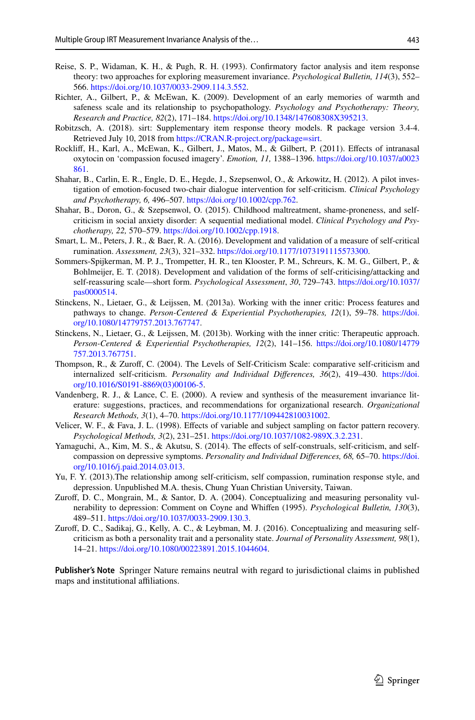- <span id="page-32-15"></span>Reise, S. P., Widaman, K. H., & Pugh, R. H. (1993). Confrmatory factor analysis and item response theory: two approaches for exploring measurement invariance. *Psychological Bulletin, 114*(3), 552– 566.<https://doi.org/10.1037/0033-2909.114.3.552>.
- <span id="page-32-10"></span>Richter, A., Gilbert, P., & McEwan, K. (2009). Development of an early memories of warmth and safeness scale and its relationship to psychopathology. *Psychology and Psychotherapy: Theory, Research and Practice, 82*(2), 171–184. [https://doi.org/10.1348/147608308X395213.](https://doi.org/10.1348/147608308X395213)
- <span id="page-32-16"></span>Robitzsch, A. (2018). sirt: Supplementary item response theory models. R package version 3.4-4. Retrieved July 10, 2018 from [https://CRAN.R-project.org/package=sirt](https://CRAN.R-project.org/package%3dsirt).
- <span id="page-32-11"></span>Rocklif, H., Karl, A., McEwan, K., Gilbert, J., Matos, M., & Gilbert, P. (2011). Efects of intranasal oxytocin on 'compassion focused imagery'. *Emotion, 11,* 1388–1396. [https://doi.org/10.1037/a0023](https://doi.org/10.1037/a0023861) [861](https://doi.org/10.1037/a0023861).
- <span id="page-32-0"></span>Shahar, B., Carlin, E. R., Engle, D. E., Hegde, J., Szepsenwol, O., & Arkowitz, H. (2012). A pilot investigation of emotion-focused two-chair dialogue intervention for self-criticism. *Clinical Psychology and Psychotherapy, 6,* 496–507. [https://doi.org/10.1002/cpp.762.](https://doi.org/10.1002/cpp.762)
- <span id="page-32-9"></span>Shahar, B., Doron, G., & Szepsenwol, O. (2015). Childhood maltreatment, shame-proneness, and selfcriticism in social anxiety disorder: A sequential mediational model. *Clinical Psychology and Psychotherapy, 22,* 570–579.<https://doi.org/10.1002/cpp.1918>.
- <span id="page-32-7"></span>Smart, L. M., Peters, J. R., & Baer, R. A. (2016). Development and validation of a measure of self-critical rumination. *Assessment, 23*(3), 321–332. [https://doi.org/10.1177/1073191115573300.](https://doi.org/10.1177/1073191115573300)
- <span id="page-32-8"></span>Sommers-Spijkerman, M. P. J., Trompetter, H. R., ten Klooster, P. M., Schreurs, K. M. G., Gilbert, P., & Bohlmeijer, E. T. (2018). Development and validation of the forms of self-criticising/attacking and self-reassuring scale—short form. *Psychological Assessment*, *30*, 729–743. [https://doi.org/10.1037/](https://doi.org/10.1037/pas0000514) [pas0000514.](https://doi.org/10.1037/pas0000514)
- <span id="page-32-3"></span>Stinckens, N., Lietaer, G., & Leijssen, M. (2013a). Working with the inner critic: Process features and pathways to change. *Person-Centered & Experiential Psychotherapies, 12*(1), 59–78. [https://doi.](https://doi.org/10.1080/14779757.2013.767747) [org/10.1080/14779757.2013.767747](https://doi.org/10.1080/14779757.2013.767747).
- <span id="page-32-4"></span>Stinckens, N., Lietaer, G., & Leijssen, M. (2013b). Working with the inner critic: Therapeutic approach. *Person-Centered & Experiential Psychotherapies, 12*(2), 141–156. [https://doi.org/10.1080/14779](https://doi.org/10.1080/14779757.2013.767751) [757.2013.767751](https://doi.org/10.1080/14779757.2013.767751).
- <span id="page-32-6"></span>Thompson, R., & Zuroff, C. (2004). The Levels of Self-Criticism Scale: comparative self-criticism and internalized self-criticism. *Personality and Individual Diferences, 36*(2), 419–430. [https://doi.](https://doi.org/10.1016/S0191-8869(03)00106-5) [org/10.1016/S0191-8869\(03\)00106-5](https://doi.org/10.1016/S0191-8869(03)00106-5).
- <span id="page-32-14"></span>Vandenberg, R. J., & Lance, C. E. (2000). A review and synthesis of the measurement invariance literature: suggestions, practices, and recommendations for organizational research. *Organizational Research Methods, 3*(1), 4–70.<https://doi.org/10.1177/109442810031002>.
- <span id="page-32-12"></span>Velicer, W. F., & Fava, J. L. (1998). Efects of variable and subject sampling on factor pattern recovery. *Psychological Methods, 3*(2), 231–251. [https://doi.org/10.1037/1082-989X.3.2.231.](https://doi.org/10.1037/1082-989X.3.2.231)
- <span id="page-32-5"></span>Yamaguchi, A., Kim, M. S., & Akutsu, S. (2014). The effects of self-construals, self-criticism, and selfcompassion on depressive symptoms. *Personality and Individual Diferences, 68,* 65–70. [https://doi.](https://doi.org/10.1016/j.paid.2014.03.013) [org/10.1016/j.paid.2014.03.013](https://doi.org/10.1016/j.paid.2014.03.013).
- <span id="page-32-13"></span>Yu, F. Y. (2013).The relationship among self-criticism, self compassion, rumination response style, and depression. Unpublished M.A. thesis, Chung Yuan Christian University, Taiwan.
- <span id="page-32-1"></span>Zurof, D. C., Mongrain, M., & Santor, D. A. (2004). Conceptualizing and measuring personality vulnerability to depression: Comment on Coyne and Whifen (1995). *Psychological Bulletin, 130*(3), 489–511.<https://doi.org/10.1037/0033-2909.130.3>.
- <span id="page-32-2"></span>Zurof, D. C., Sadikaj, G., Kelly, A. C., & Leybman, M. J. (2016). Conceptualizing and measuring selfcriticism as both a personality trait and a personality state. *Journal of Personality Assessment, 98*(1), 14–21.<https://doi.org/10.1080/00223891.2015.1044604>.

**Publisher's Note** Springer Nature remains neutral with regard to jurisdictional claims in published maps and institutional affiliations.